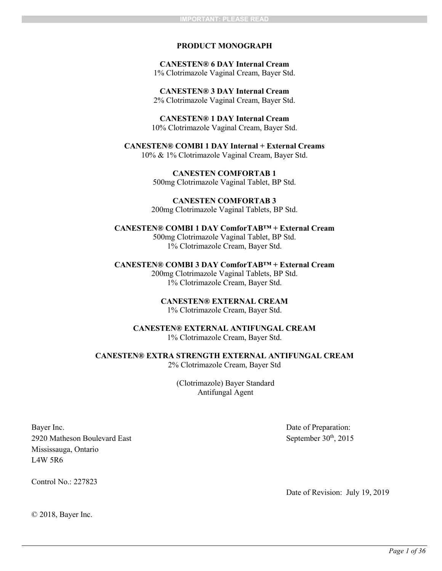## **PRODUCT MONOGRAPH**

**CANESTEN® 6 DAY Internal Cream** 1% Clotrimazole Vaginal Cream, Bayer Std.

**CANESTEN® 3 DAY Internal Cream** 2% Clotrimazole Vaginal Cream, Bayer Std.

**CANESTEN® 1 DAY Internal Cream** 10% Clotrimazole Vaginal Cream, Bayer Std.

**CANESTEN® COMBI 1 DAY Internal + External Creams** 10% & 1% Clotrimazole Vaginal Cream, Bayer Std.

> **CANESTEN COMFORTAB 1** 500mg Clotrimazole Vaginal Tablet, BP Std.

**CANESTEN COMFORTAB 3** 200mg Clotrimazole Vaginal Tablets, BP Std.

**CANESTEN® COMBI 1 DAY ComforTAB™ + External Cream** 500mg Clotrimazole Vaginal Tablet, BP Std.

1% Clotrimazole Cream, Bayer Std.

**CANESTEN® COMBI 3 DAY ComforTAB™ + External Cream** 200mg Clotrimazole Vaginal Tablets, BP Std. 1% Clotrimazole Cream, Bayer Std.

> **CANESTEN® EXTERNAL CREAM** 1% Clotrimazole Cream, Bayer Std.

**CANESTEN® EXTERNAL ANTIFUNGAL CREAM**  1% Clotrimazole Cream, Bayer Std.

**CANESTEN® EXTRA STRENGTH EXTERNAL ANTIFUNGAL CREAM**  2% Clotrimazole Cream, Bayer Std

> (Clotrimazole) Bayer Standard Antifungal Agent

Bayer Inc. 2920 Matheson Boulevard East Mississauga, Ontario L4W 5R6

Control No $\cdot$  227823

Date of Preparation: September  $30<sup>th</sup>$ , 2015

Date of Revision: July 19, 2019

© 2018, Bayer Inc.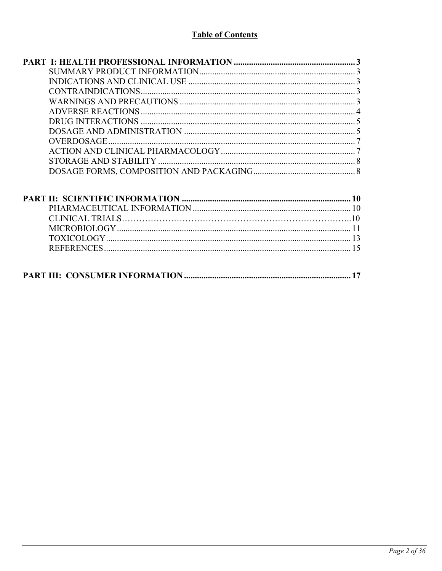# **Table of Contents**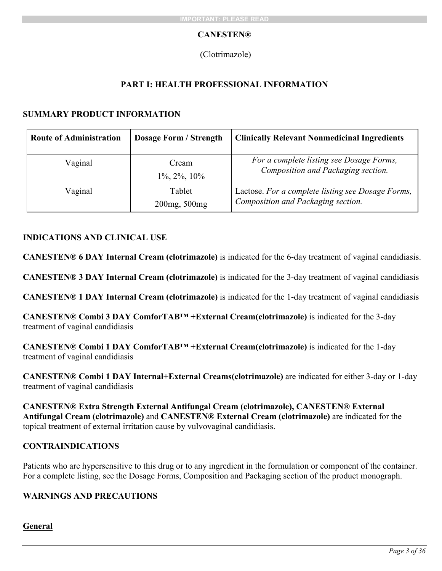# **CANESTEN®**

# <span id="page-2-1"></span><span id="page-2-0"></span>(Clotrimazole)

# **PART I: HEALTH PROFESSIONAL INFORMATION**

# **SUMMARY PRODUCT INFORMATION**

| <b>Route of Administration</b> | <b>Dosage Form / Strength</b> | <b>Clinically Relevant Nonmedicinal Ingredients</b>                                     |
|--------------------------------|-------------------------------|-----------------------------------------------------------------------------------------|
| Vaginal                        | Cream<br>$1\%, 2\%, 10\%$     | For a complete listing see Dosage Forms,<br>Composition and Packaging section.          |
| Vaginal                        | Tablet<br>200mg, 500mg        | Lactose. For a complete listing see Dosage Forms,<br>Composition and Packaging section. |

# <span id="page-2-2"></span>**INDICATIONS AND CLINICAL USE**

**CANESTEN® 6 DAY Internal Cream (clotrimazole)** is indicated for the 6-day treatment of vaginal candidiasis.

**CANESTEN® 3 DAY Internal Cream (clotrimazole)** is indicated for the 3-day treatment of vaginal candidiasis

**CANESTEN® 1 DAY Internal Cream (clotrimazole)** is indicated for the 1-day treatment of vaginal candidiasis

**CANESTEN® Combi 3 DAY ComforTAB™ +External Cream(clotrimazole)** is indicated for the 3-day treatment of vaginal candidiasis

**CANESTEN® Combi 1 DAY ComforTAB™ +External Cream(clotrimazole)** is indicated for the 1-day treatment of vaginal candidiasis

**CANESTEN® Combi 1 DAY Internal+External Creams(clotrimazole)** are indicated for either 3-day or 1-day treatment of vaginal candidiasis

**CANESTEN® Extra Strength External Antifungal Cream (clotrimazole), CANESTEN® External Antifungal Cream (clotrimazole)** and **CANESTEN® External Cream (clotrimazole)** are indicated for the topical treatment of external irritation cause by vulvovaginal candidiasis.

# <span id="page-2-3"></span>**CONTRAINDICATIONS**

Patients who are hypersensitive to this drug or to any ingredient in the formulation or component of the container. For a complete listing, see the Dosage Forms, Composition and Packaging section of the product monograph.

# <span id="page-2-4"></span>**WARNINGS AND PRECAUTIONS**

# **General**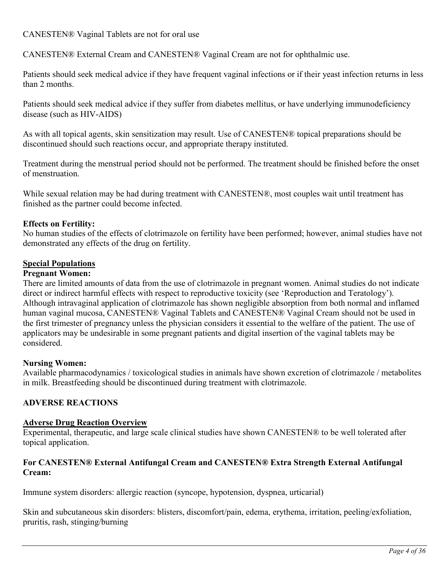CANESTEN® Vaginal Tablets are not for oral use

CANESTEN® External Cream and CANESTEN® Vaginal Cream are not for ophthalmic use.

Patients should seek medical advice if they have frequent vaginal infections or if their yeast infection returns in less than 2 months.

Patients should seek medical advice if they suffer from diabetes mellitus, or have underlying immunodeficiency disease (such as HIV-AIDS)

As with all topical agents, skin sensitization may result. Use of CANESTEN® topical preparations should be discontinued should such reactions occur, and appropriate therapy instituted.

Treatment during the menstrual period should not be performed. The treatment should be finished before the onset of menstruation.

While sexual relation may be had during treatment with CANESTEN®, most couples wait until treatment has finished as the partner could become infected.

# **Effects on Fertility:**

No human studies of the effects of clotrimazole on fertility have been performed; however, animal studies have not demonstrated any effects of the drug on fertility.

# **Special Populations**

# **Pregnant Women:**

There are limited amounts of data from the use of clotrimazole in pregnant women. Animal studies do not indicate direct or indirect harmful effects with respect to reproductive toxicity (see 'Reproduction and Teratology'). Although intravaginal application of clotrimazole has shown negligible absorption from both normal and inflamed human vaginal mucosa, CANESTEN® Vaginal Tablets and CANESTEN® Vaginal Cream should not be used in the first trimester of pregnancy unless the physician considers it essential to the welfare of the patient. The use of applicators may be undesirable in some pregnant patients and digital insertion of the vaginal tablets may be considered.

# **Nursing Women:**

Available pharmacodynamics / toxicological studies in animals have shown excretion of clotrimazole / metabolites in milk. Breastfeeding should be discontinued during treatment with clotrimazole.

# <span id="page-3-0"></span>**ADVERSE REACTIONS**

# **Adverse Drug Reaction Overview**

Experimental, therapeutic, and large scale clinical studies have shown CANESTEN® to be well tolerated after topical application.

# **For CANESTEN® External Antifungal Cream and CANESTEN® Extra Strength External Antifungal Cream:**

Immune system disorders: allergic reaction (syncope, hypotension, dyspnea, urticarial)

Skin and subcutaneous skin disorders: blisters, discomfort/pain, edema, erythema, irritation, peeling/exfoliation, pruritis, rash, stinging/burning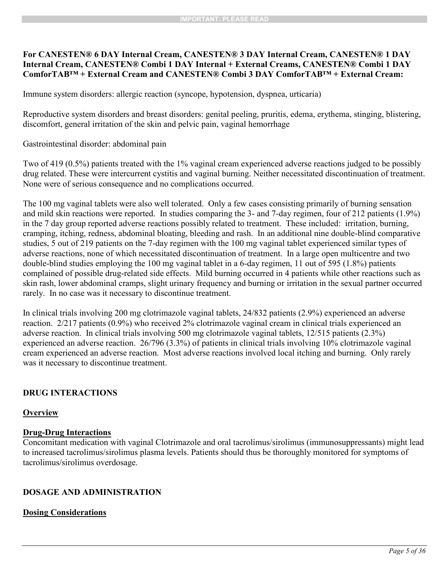# **For CANESTEN® 6 DAY Internal Cream, CANESTEN® 3 DAY Internal Cream, CANESTEN® 1 DAY Internal Cream, CANESTEN® Combi 1 DAY Internal + External Creams, CANESTEN® Combi 1 DAY ComforTAB™ + External Cream and CANESTEN® Combi 3 DAY ComforTAB™ + External Cream:**

Immune system disorders: allergic reaction (syncope, hypotension, dyspnea, urticaria)

Reproductive system disorders and breast disorders: genital peeling, pruritis, edema, erythema, stinging, blistering, discomfort, general irritation of the skin and pelvic pain, vaginal hemorrhage

Gastrointestinal disorder: abdominal pain

Two of 419 (0.5%) patients treated with the 1% vaginal cream experienced adverse reactions judged to be possibly drug related. These were intercurrent cystitis and vaginal burning. Neither necessitated discontinuation of treatment. None were of serious consequence and no complications occurred.

The 100 mg vaginal tablets were also well tolerated. Only a few cases consisting primarily of burning sensation and mild skin reactions were reported. In studies comparing the 3- and 7-day regimen, four of 212 patients (1.9%) in the 7 day group reported adverse reactions possibly related to treatment. These included: irritation, burning, cramping, itching, redness, abdominal bloating, bleeding and rash. In an additional nine double-blind comparative studies, 5 out of 219 patients on the 7-day regimen with the 100 mg vaginal tablet experienced similar types of adverse reactions, none of which necessitated discontinuation of treatment. In a large open multicentre and two double-blind studies employing the 100 mg vaginal tablet in a 6-day regimen, 11 out of 595 (1.8%) patients complained of possible drug-related side effects. Mild burning occurred in 4 patients while other reactions such as skin rash, lower abdominal cramps, slight urinary frequency and burning or irritation in the sexual partner occurred rarely. In no case was it necessary to discontinue treatment.

In clinical trials involving 200 mg clotrimazole vaginal tablets, 24/832 patients (2.9%) experienced an adverse reaction. 2/217 patients (0.9%) who received 2% clotrimazole vaginal cream in clinical trials experienced an adverse reaction. In clinical trials involving 500 mg clotrimazole vaginal tablets, 12/515 patients (2.3%) experienced an adverse reaction. 26/796 (3.3%) of patients in clinical trials involving 10% clotrimazole vaginal cream experienced an adverse reaction. Most adverse reactions involved local itching and burning. Only rarely was it necessary to discontinue treatment.

# <span id="page-4-0"></span>**DRUG INTERACTIONS**

# **Overview**

# **Drug-Drug Interactions**

Concomitant medication with vaginal Clotrimazole and oral tacrolimus/sirolimus (immunosuppressants) might lead to increased tacrolimus/sirolimus plasma levels. Patients should thus be thoroughly monitored for symptoms of tacrolimus/sirolimus overdosage.

# <span id="page-4-1"></span>**DOSAGE AND ADMINISTRATION**

# **Dosing Considerations**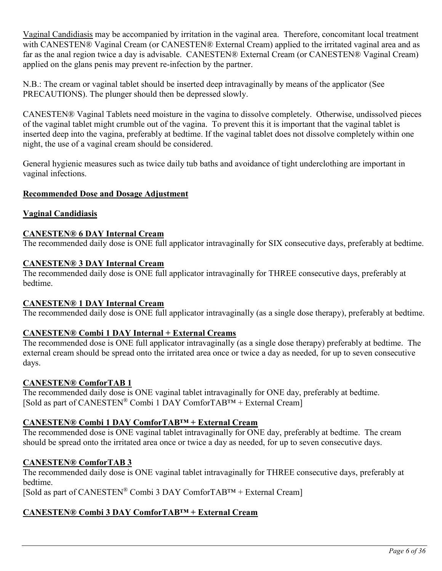Vaginal Candidiasis may be accompanied by irritation in the vaginal area. Therefore, concomitant local treatment with CANESTEN® Vaginal Cream (or CANESTEN® External Cream) applied to the irritated vaginal area and as far as the anal region twice a day is advisable. CANESTEN® External Cream (or CANESTEN® Vaginal Cream) applied on the glans penis may prevent re-infection by the partner.

N.B.: The cream or vaginal tablet should be inserted deep intravaginally by means of the applicator (See PRECAUTIONS). The plunger should then be depressed slowly.

CANESTEN® Vaginal Tablets need moisture in the vagina to dissolve completely. Otherwise, undissolved pieces of the vaginal tablet might crumble out of the vagina. To prevent this it is important that the vaginal tablet is inserted deep into the vagina, preferably at bedtime. If the vaginal tablet does not dissolve completely within one night, the use of a vaginal cream should be considered.

General hygienic measures such as twice daily tub baths and avoidance of tight underclothing are important in vaginal infections.

# **Recommended Dose and Dosage Adjustment**

# **Vaginal Candidiasis**

# **CANESTEN® 6 DAY Internal Cream**

The recommended daily dose is ONE full applicator intravaginally for SIX consecutive days, preferably at bedtime.

# **CANESTEN® 3 DAY Internal Cream**

The recommended daily dose is ONE full applicator intravaginally for THREE consecutive days, preferably at bedtime.

# **CANESTEN® 1 DAY Internal Cream**

The recommended daily dose is ONE full applicator intravaginally (as a single dose therapy), preferably at bedtime.

# **CANESTEN® Combi 1 DAY Internal + External Creams**

The recommended dose is ONE full applicator intravaginally (as a single dose therapy) preferably at bedtime. The external cream should be spread onto the irritated area once or twice a day as needed, for up to seven consecutive days.

# **CANESTEN® ComforTAB 1**

The recommended daily dose is ONE vaginal tablet intravaginally for ONE day, preferably at bedtime. [Sold as part of CANESTEN<sup>®</sup> Combi 1 DAY ComforTAB<sup>TM</sup> + External Cream]

# **CANESTEN® Combi 1 DAY ComforTAB™ + External Cream**

The recommended dose is ONE vaginal tablet intravaginally for ONE day, preferably at bedtime. The cream should be spread onto the irritated area once or twice a day as needed, for up to seven consecutive days.

# **CANESTEN® ComforTAB 3**

The recommended daily dose is ONE vaginal tablet intravaginally for THREE consecutive days, preferably at bedtime.

[Sold as part of CANESTEN® Combi 3 DAY ComforTAB™ + External Cream]

# **CANESTEN® Combi 3 DAY ComforTAB™ + External Cream**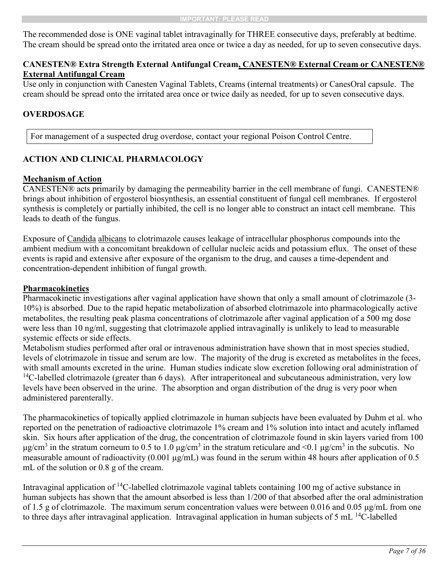The recommended dose is ONE vaginal tablet intravaginally for THREE consecutive days, preferably at bedtime. The cream should be spread onto the irritated area once or twice a day as needed, for up to seven consecutive days.

# **CANESTEN® Extra Strength External Antifungal Cream, CANESTEN® External Cream or CANESTEN® External Antifungal Cream**

Use only in conjunction with Canesten Vaginal Tablets, Creams (internal treatments) or CanesOral capsule. The cream should be spread onto the irritated area once or twice daily as needed, for up to seven consecutive days.

# **OVERDOSAGE**

<span id="page-6-1"></span><span id="page-6-0"></span>For management of a suspected drug overdose, contact your regional Poison Control Centre.

# **ACTION AND CLINICAL PHARMACOLOGY**

# **Mechanism of Action**

CANESTEN® acts primarily by damaging the permeability barrier in the cell membrane of fungi. CANESTEN® brings about inhibition of ergosterol biosynthesis, an essential constituent of fungal cell membranes. If ergosterol synthesis is completely or partially inhibited, the cell is no longer able to construct an intact cell membrane. This leads to death of the fungus.

Exposure of Candida albicans to clotrimazole causes leakage of intracellular phosphorus compounds into the ambient medium with a concomitant breakdown of cellular nucleic acids and potassium eflux. The onset of these events is rapid and extensive after exposure of the organism to the drug, and causes a time-dependent and concentration-dependent inhibition of fungal growth.

# **Pharmacokinetics**

Pharmacokinetic investigations after vaginal application have shown that only a small amount of clotrimazole (3- 10%) is absorbed. Due to the rapid hepatic metabolization of absorbed clotrimazole into pharmacologically active metabolites, the resulting peak plasma concentrations of clotrimazole after vaginal application of a 500 mg dose were less than 10 ng/ml, suggesting that clotrimazole applied intravaginally is unlikely to lead to measurable systemic effects or side effects.

Metabolism studies performed after oral or intravenous administration have shown that in most species studied, levels of clotrimazole in tissue and serum are low. The majority of the drug is excreted as metabolites in the feces, with small amounts excreted in the urine. Human studies indicate slow excretion following oral administration of  $14C$ -labelled clotrimazole (greater than 6 days). After intraperitoneal and subcutaneous administration, very low levels have been observed in the urine. The absorption and organ distribution of the drug is very poor when administered parenterally.

The pharmacokinetics of topically applied clotrimazole in human subjects have been evaluated by Duhm et al. who reported on the penetration of radioactive clotrimazole 1% cream and 1% solution into intact and acutely inflamed skin. Six hours after application of the drug, the concentration of clotrimazole found in skin layers varied from 100 μg/cm<sup>3</sup> in the stratum corneum to 0.5 to 1.0 μg/cm<sup>3</sup> in the stratum reticulare and <0.1 μg/cm<sup>3</sup> in the subcutis. No measurable amount of radioactivity (0.001  $\mu$ g/mL) was found in the serum within 48 hours after application of 0.5 mL of the solution or 0.8 g of the cream.

Intravaginal application of <sup>14</sup>C-labelled clotrimazole vaginal tablets containing 100 mg of active substance in human subjects has shown that the amount absorbed is less than 1/200 of that absorbed after the oral administration of 1.5 g of clotrimazole. The maximum serum concentration values were between 0.016 and 0.05 μg/mL from one to three days after intravaginal application. Intravaginal application in human subjects of 5 mL <sup>14</sup>C-labelled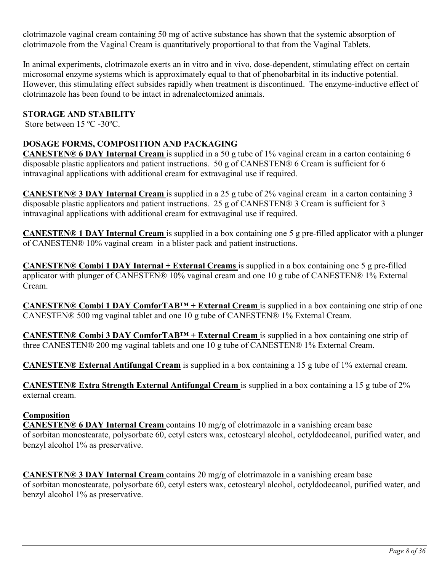clotrimazole vaginal cream containing 50 mg of active substance has shown that the systemic absorption of clotrimazole from the Vaginal Cream is quantitatively proportional to that from the Vaginal Tablets.

In animal experiments, clotrimazole exerts an in vitro and in vivo, dose-dependent, stimulating effect on certain microsomal enzyme systems which is approximately equal to that of phenobarbital in its inductive potential. However, this stimulating effect subsides rapidly when treatment is discontinued. The enzyme-inductive effect of clotrimazole has been found to be intact in adrenalectomized animals.

# **STORAGE AND STABILITY**

<span id="page-7-1"></span><span id="page-7-0"></span>Store between 15 ºC -30ºC.

# **DOSAGE FORMS, COMPOSITION AND PACKAGING**

**CANESTEN® 6 DAY Internal Cream** is supplied in a 50 g tube of 1% vaginal cream in a carton containing 6 disposable plastic applicators and patient instructions. 50 g of CANESTEN® 6 Cream is sufficient for 6 intravaginal applications with additional cream for extravaginal use if required.

**CANESTEN® 3 DAY Internal Cream** is supplied in a 25 g tube of 2% vaginal cream in a carton containing 3 disposable plastic applicators and patient instructions. 25 g of CANESTEN® 3 Cream is sufficient for 3 intravaginal applications with additional cream for extravaginal use if required.

**CANESTEN® 1 DAY Internal Cream** is supplied in a box containing one 5 g pre-filled applicator with a plunger of CANESTEN® 10% vaginal cream in a blister pack and patient instructions.

**CANESTEN® Combi 1 DAY Internal + External Creams** is supplied in a box containing one 5 g pre-filled applicator with plunger of CANESTEN® 10% vaginal cream and one 10 g tube of CANESTEN® 1% External Cream.

**CANESTEN® Combi 1 DAY ComforTAB™ + External Cream** is supplied in a box containing one strip of one CANESTEN® 500 mg vaginal tablet and one 10 g tube of CANESTEN® 1% External Cream.

**CANESTEN® Combi 3 DAY ComforTAB™ + External Cream** is supplied in a box containing one strip of three CANESTEN® 200 mg vaginal tablets and one 10 g tube of CANESTEN® 1% External Cream.

**CANESTEN® External Antifungal Cream** is supplied in a box containing a 15 g tube of 1% external cream.

**CANESTEN® Extra Strength External Antifungal Cream** is supplied in a box containing a 15 g tube of 2% external cream.

# **Composition**

**CANESTEN® 6 DAY Internal Cream** contains 10 mg/g of clotrimazole in a vanishing cream base of sorbitan monostearate, polysorbate 60, cetyl esters wax, cetostearyl alcohol, octyldodecanol, purified water, and benzyl alcohol 1% as preservative.

**CANESTEN® 3 DAY Internal Cream** contains 20 mg/g of clotrimazole in a vanishing cream base of sorbitan monostearate, polysorbate 60, cetyl esters wax, cetostearyl alcohol, octyldodecanol, purified water, and benzyl alcohol 1% as preservative.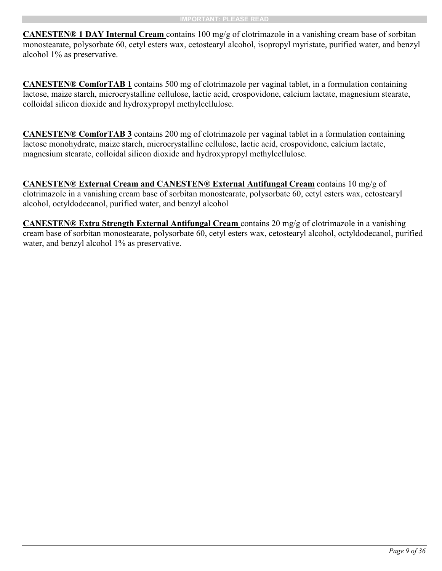**CANESTEN® 1 DAY Internal Cream** contains 100 mg/g of clotrimazole in a vanishing cream base of sorbitan monostearate, polysorbate 60, cetyl esters wax, cetostearyl alcohol, isopropyl myristate, purified water, and benzyl alcohol 1% as preservative.

**CANESTEN® ComforTAB 1** contains 500 mg of clotrimazole per vaginal tablet, in a formulation containing lactose, maize starch, microcrystalline cellulose, lactic acid, crospovidone, calcium lactate, magnesium stearate, colloidal silicon dioxide and hydroxypropyl methylcellulose.

**CANESTEN® ComforTAB 3** contains 200 mg of clotrimazole per vaginal tablet in a formulation containing lactose monohydrate, maize starch, microcrystalline cellulose, lactic acid, crospovidone, calcium lactate, magnesium stearate, colloidal silicon dioxide and hydroxypropyl methylcellulose.

**CANESTEN® External Cream and CANESTEN® External Antifungal Cream** contains 10 mg/g of clotrimazole in a vanishing cream base of sorbitan monostearate, polysorbate 60, cetyl esters wax, cetostearyl alcohol, octyldodecanol, purified water, and benzyl alcohol

**CANESTEN® Extra Strength External Antifungal Cream** contains 20 mg/g of clotrimazole in a vanishing cream base of sorbitan monostearate, polysorbate 60, cetyl esters wax, cetostearyl alcohol, octyldodecanol, purified water, and benzyl alcohol 1% as preservative.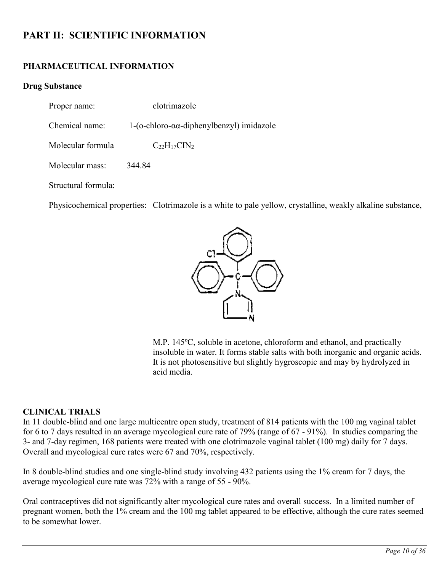# **PART II: SCIENTIFIC INFORMATION**

# **PHARMACEUTICAL INFORMATION**

# **Drug Substance**

<span id="page-9-1"></span><span id="page-9-0"></span>Proper name: clotrimazole

Chemical name: 1-(o-chloro-αα-diphenylbenzyl) imidazole

Molecular formula  $C_{22}H_{17}CIN_2$ 

Molecular mass: 344.84

Structural formula:

Physicochemical properties: Clotrimazole is a white to pale yellow, crystalline, weakly alkaline substance,



M.P. 145ºC, soluble in acetone, chloroform and ethanol, and practically insoluble in water. It forms stable salts with both inorganic and organic acids. It is not photosensitive but slightly hygroscopic and may by hydrolyzed in acid media.

# **CLINICAL TRIALS**

In 11 double-blind and one large multicentre open study, treatment of 814 patients with the 100 mg vaginal tablet for 6 to 7 days resulted in an average mycological cure rate of 79% (range of 67 - 91%). In studies comparing the 3- and 7-day regimen, 168 patients were treated with one clotrimazole vaginal tablet (100 mg) daily for 7 days. Overall and mycological cure rates were 67 and 70%, respectively.

In 8 double-blind studies and one single-blind study involving 432 patients using the 1% cream for 7 days, the average mycological cure rate was 72% with a range of 55 - 90%.

Oral contraceptives did not significantly alter mycological cure rates and overall success. In a limited number of pregnant women, both the 1% cream and the 100 mg tablet appeared to be effective, although the cure rates seemed to be somewhat lower.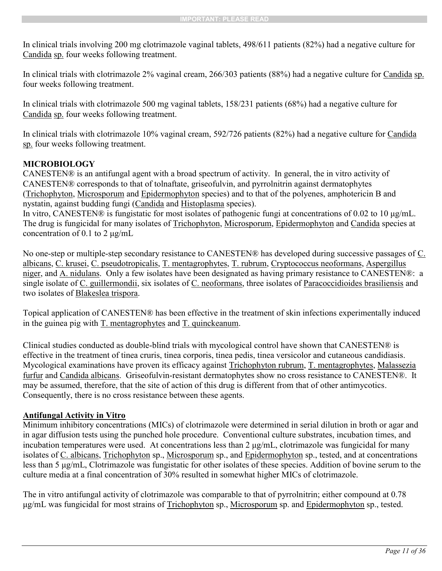In clinical trials involving 200 mg clotrimazole vaginal tablets, 498/611 patients (82%) had a negative culture for Candida sp. four weeks following treatment.

In clinical trials with clotrimazole 2% vaginal cream, 266/303 patients (88%) had a negative culture for Candida sp. four weeks following treatment.

In clinical trials with clotrimazole 500 mg vaginal tablets, 158/231 patients (68%) had a negative culture for Candida sp. four weeks following treatment.

In clinical trials with clotrimazole 10% vaginal cream, 592/726 patients (82%) had a negative culture for Candida sp. four weeks following treatment.

# <span id="page-10-0"></span>**MICROBIOLOGY**

CANESTEN® is an antifungal agent with a broad spectrum of activity. In general, the in vitro activity of CANESTEN® corresponds to that of tolnaftate, griseofulvin, and pyrrolnitrin against dermatophytes (Trichophyton, Microsporum and Epidermophyton species) and to that of the polyenes, amphotericin B and nystatin, against budding fungi (Candida and Histoplasma species).

In vitro, CANESTEN® is fungistatic for most isolates of pathogenic fungi at concentrations of 0.02 to 10 μg/mL. The drug is fungicidal for many isolates of Trichophyton, Microsporum, Epidermophyton and Candida species at concentration of 0.1 to 2 μg/mL

No one-step or multiple-step secondary resistance to CANESTEN® has developed during successive passages of C. albicans, C. krusei, C. pseudotropicalis, T. mentagrophytes, T. rubrum, Cryptococcus neoformans, Aspergillus niger, and A. nidulans. Only a few isolates have been designated as having primary resistance to CANESTEN®: a single isolate of C. guillermondii, six isolates of C. neoformans, three isolates of Paracoccidioides brasiliensis and two isolates of Blakeslea trispora.

Topical application of CANESTEN® has been effective in the treatment of skin infections experimentally induced in the guinea pig with T. mentagrophytes and T. quinckeanum.

Clinical studies conducted as double-blind trials with mycological control have shown that CANESTEN® is effective in the treatment of tinea cruris, tinea corporis, tinea pedis, tinea versicolor and cutaneous candidiasis. Mycological examinations have proven its efficacy against Trichophyton rubrum, T. mentagrophytes, Malassezia furfur and Candida albicans. Griseofulvin-resistant dermatophytes show no cross resistance to CANESTEN®. It may be assumed, therefore, that the site of action of this drug is different from that of other antimycotics. Consequently, there is no cross resistance between these agents.

# **Antifungal Activity in Vitro**

Minimum inhibitory concentrations (MICs) of clotrimazole were determined in serial dilution in broth or agar and in agar diffusion tests using the punched hole procedure. Conventional culture substrates, incubation times, and incubation temperatures were used. At concentrations less than 2 μg/mL, clotrimazole was fungicidal for many isolates of C. albicans, Trichophyton sp., Microsporum sp., and Epidermophyton sp., tested, and at concentrations less than 5 μg/mL, Clotrimazole was fungistatic for other isolates of these species. Addition of bovine serum to the culture media at a final concentration of 30% resulted in somewhat higher MICs of clotrimazole.

The in vitro antifungal activity of clotrimazole was comparable to that of pyrrolnitrin; either compound at 0.78 μg/mL was fungicidal for most strains of Trichophyton sp., Microsporum sp. and Epidermophyton sp., tested.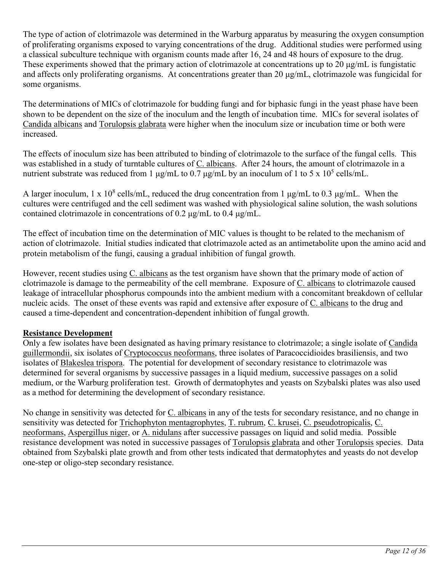The type of action of clotrimazole was determined in the Warburg apparatus by measuring the oxygen consumption of proliferating organisms exposed to varying concentrations of the drug. Additional studies were performed using a classical subculture technique with organism counts made after 16, 24 and 48 hours of exposure to the drug. These experiments showed that the primary action of clotrimazole at concentrations up to 20 μg/mL is fungistatic and affects only proliferating organisms. At concentrations greater than 20 μg/mL, clotrimazole was fungicidal for some organisms.

The determinations of MICs of clotrimazole for budding fungi and for biphasic fungi in the yeast phase have been shown to be dependent on the size of the inoculum and the length of incubation time. MICs for several isolates of Candida albicans and Torulopsis glabrata were higher when the inoculum size or incubation time or both were increased.

The effects of inoculum size has been attributed to binding of clotrimazole to the surface of the fungal cells. This was established in a study of turntable cultures of C. albicans. After 24 hours, the amount of clotrimazole in a nutrient substrate was reduced from 1  $\mu$ g/mL to 0.7  $\mu$ g/mL by an inoculum of 1 to 5 x 10<sup>5</sup> cells/mL.

A larger inoculum, 1 x  $10^8$  cells/mL, reduced the drug concentration from 1  $\mu$ g/mL to 0.3  $\mu$ g/mL. When the cultures were centrifuged and the cell sediment was washed with physiological saline solution, the wash solutions contained clotrimazole in concentrations of 0.2 μg/mL to 0.4 μg/mL.

The effect of incubation time on the determination of MIC values is thought to be related to the mechanism of action of clotrimazole. Initial studies indicated that clotrimazole acted as an antimetabolite upon the amino acid and protein metabolism of the fungi, causing a gradual inhibition of fungal growth.

However, recent studies using C. albicans as the test organism have shown that the primary mode of action of clotrimazole is damage to the permeability of the cell membrane. Exposure of C. albicans to clotrimazole caused leakage of intracellular phosphorus compounds into the ambient medium with a concomitant breakdown of cellular nucleic acids. The onset of these events was rapid and extensive after exposure of C. albicans to the drug and caused a time-dependent and concentration-dependent inhibition of fungal growth.

# **Resistance Development**

Only a few isolates have been designated as having primary resistance to clotrimazole; a single isolate of Candida guillermondii, six isolates of Cryptococcus neoformans, three isolates of Paracoccidioides brasiliensis, and two isolates of Blakeslea trispora. The potential for development of secondary resistance to clotrimazole was determined for several organisms by successive passages in a liquid medium, successive passages on a solid medium, or the Warburg proliferation test. Growth of dermatophytes and yeasts on Szybalski plates was also used as a method for determining the development of secondary resistance.

No change in sensitivity was detected for C. albicans in any of the tests for secondary resistance, and no change in sensitivity was detected for Trichophyton mentagrophytes, T. rubrum, C. krusei, C. pseudotropicalis, C. neoformans, Aspergillus niger, or A. nidulans after successive passages on liquid and solid media. Possible resistance development was noted in successive passages of Torulopsis glabrata and other Torulopsis species. Data obtained from Szybalski plate growth and from other tests indicated that dermatophytes and yeasts do not develop one-step or oligo-step secondary resistance.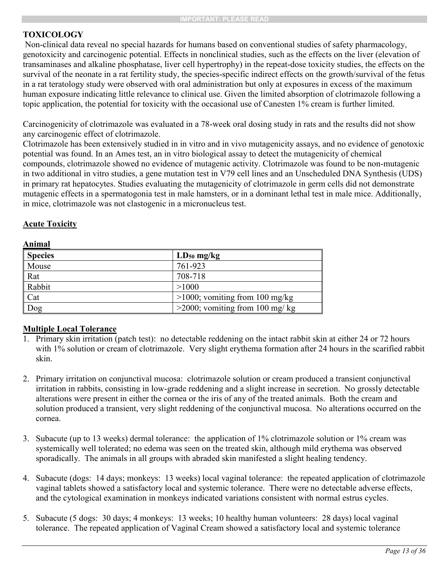# <span id="page-12-0"></span>**TOXICOLOGY**

Non-clinical data reveal no special hazards for humans based on conventional studies of safety pharmacology, genotoxicity and carcinogenic potential. Effects in nonclinical studies, such as the effects on the liver (elevation of transaminases and alkaline phosphatase, liver cell hypertrophy) in the repeat-dose toxicity studies, the effects on the survival of the neonate in a rat fertility study, the species-specific indirect effects on the growth/survival of the fetus in a rat teratology study were observed with oral administration but only at exposures in excess of the maximum human exposure indicating little relevance to clinical use. Given the limited absorption of clotrimazole following a topic application, the potential for toxicity with the occasional use of Canesten 1% cream is further limited.

Carcinogenicity of clotrimazole was evaluated in a 78-week oral dosing study in rats and the results did not show any carcinogenic effect of clotrimazole.

Clotrimazole has been extensively studied in in vitro and in vivo mutagenicity assays, and no evidence of genotoxic potential was found. In an Ames test, an in vitro biological assay to detect the mutagenicity of chemical compounds, clotrimazole showed no evidence of mutagenic activity. Clotrimazole was found to be non-mutagenic in two additional in vitro studies, a gene mutation test in V79 cell lines and an Unscheduled DNA Synthesis (UDS) in primary rat hepatocytes. Studies evaluating the mutagenicity of clotrimazole in germ cells did not demonstrate mutagenic effects in a spermatogonia test in male hamsters, or in a dominant lethal test in male mice. Additionally, in mice, clotrimazole was not clastogenic in a micronucleus test.

# **Acute Toxicity**

**Animal**

| <b>Species</b> | $LD_{50}$ mg/kg                   |
|----------------|-----------------------------------|
| Mouse          | 761-923                           |
| Rat            | 708-718                           |
| Rabbit         | >1000                             |
| Cat            | $>1000$ ; vomiting from 100 mg/kg |
| Dog            | $>$ 2000; vomiting from 100 mg/kg |

# **Multiple Local Tolerance**

- 1. Primary skin irritation (patch test): no detectable reddening on the intact rabbit skin at either 24 or 72 hours with 1% solution or cream of clotrimazole. Very slight erythema formation after 24 hours in the scarified rabbit skin.
- 2. Primary irritation on conjunctival mucosa: clotrimazole solution or cream produced a transient conjunctival irritation in rabbits, consisting in low-grade reddening and a slight increase in secretion. No grossly detectable alterations were present in either the cornea or the iris of any of the treated animals. Both the cream and solution produced a transient, very slight reddening of the conjunctival mucosa. No alterations occurred on the cornea.
- 3. Subacute (up to 13 weeks) dermal tolerance: the application of 1% clotrimazole solution or 1% cream was systemically well tolerated; no edema was seen on the treated skin, although mild erythema was observed sporadically. The animals in all groups with abraded skin manifested a slight healing tendency.
- 4. Subacute (dogs: 14 days; monkeys: 13 weeks) local vaginal tolerance: the repeated application of clotrimazole vaginal tablets showed a satisfactory local and systemic tolerance. There were no detectable adverse effects, and the cytological examination in monkeys indicated variations consistent with normal estrus cycles.
- 5. Subacute (5 dogs: 30 days; 4 monkeys: 13 weeks; 10 healthy human volunteers: 28 days) local vaginal tolerance. The repeated application of Vaginal Cream showed a satisfactory local and systemic tolerance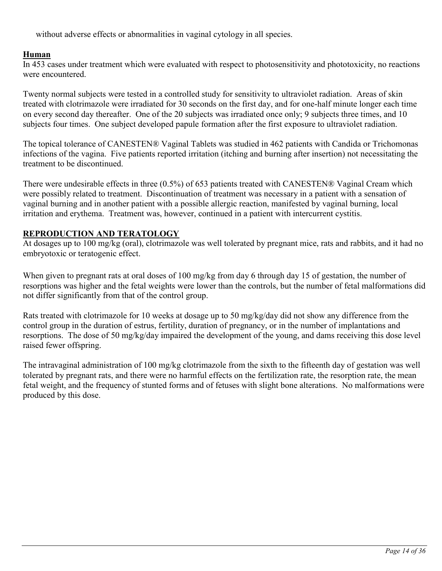without adverse effects or abnormalities in vaginal cytology in all species.

# **Human**

In 453 cases under treatment which were evaluated with respect to photosensitivity and phototoxicity, no reactions were encountered.

Twenty normal subjects were tested in a controlled study for sensitivity to ultraviolet radiation. Areas of skin treated with clotrimazole were irradiated for 30 seconds on the first day, and for one-half minute longer each time on every second day thereafter. One of the 20 subjects was irradiated once only; 9 subjects three times, and 10 subjects four times. One subject developed papule formation after the first exposure to ultraviolet radiation.

The topical tolerance of CANESTEN® Vaginal Tablets was studied in 462 patients with Candida or Trichomonas infections of the vagina. Five patients reported irritation (itching and burning after insertion) not necessitating the treatment to be discontinued.

There were undesirable effects in three (0.5%) of 653 patients treated with CANESTEN® Vaginal Cream which were possibly related to treatment. Discontinuation of treatment was necessary in a patient with a sensation of vaginal burning and in another patient with a possible allergic reaction, manifested by vaginal burning, local irritation and erythema. Treatment was, however, continued in a patient with intercurrent cystitis.

# **REPRODUCTION AND TERATOLOGY**

At dosages up to 100 mg/kg (oral), clotrimazole was well tolerated by pregnant mice, rats and rabbits, and it had no embryotoxic or teratogenic effect.

When given to pregnant rats at oral doses of 100 mg/kg from day 6 through day 15 of gestation, the number of resorptions was higher and the fetal weights were lower than the controls, but the number of fetal malformations did not differ significantly from that of the control group.

Rats treated with clotrimazole for 10 weeks at dosage up to 50 mg/kg/day did not show any difference from the control group in the duration of estrus, fertility, duration of pregnancy, or in the number of implantations and resorptions. The dose of 50 mg/kg/day impaired the development of the young, and dams receiving this dose level raised fewer offspring.

The intravaginal administration of 100 mg/kg clotrimazole from the sixth to the fifteenth day of gestation was well tolerated by pregnant rats, and there were no harmful effects on the fertilization rate, the resorption rate, the mean fetal weight, and the frequency of stunted forms and of fetuses with slight bone alterations. No malformations were produced by this dose.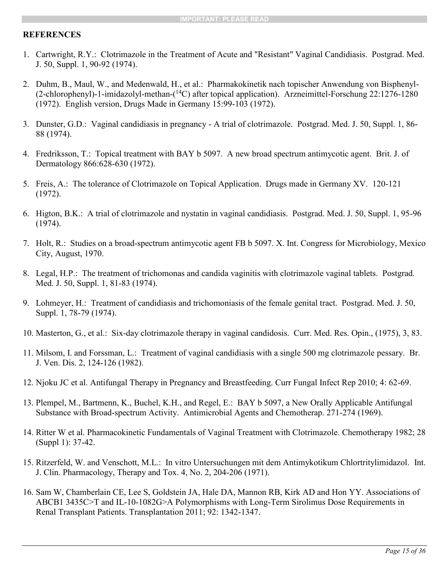# <span id="page-14-0"></span>**REFERENCES**

- 1. Cartwright, R.Y.: Clotrimazole in the Treatment of Acute and "Resistant" Vaginal Candidiasis. Postgrad. Med. J. 50, Suppl. 1, 90-92 (1974).
- 2. Duhm, B., Maul, W., and Medenwald, H., et al.: Pharmakokinetik nach topischer Anwendung von Bisphenyl- (2-chlorophenyl)-1-imidazolyl-methan-( <sup>14</sup>C) after topical application). Arzneimittel-Forschung 22:1276-1280 (1972). English version, Drugs Made in Germany 15:99-103 (1972).
- 3. Dunster, G.D.: Vaginal candidiasis in pregnancy A trial of clotrimazole. Postgrad. Med. J. 50, Suppl. 1, 86- 88 (1974).
- 4. Fredriksson, T.: Topical treatment with BAY b 5097. A new broad spectrum antimycotic agent. Brit. J. of Dermatology 866:628-630 (1972).
- 5. Freis, A.: The tolerance of Clotrimazole on Topical Application. Drugs made in Germany XV. 120-121 (1972).
- 6. Higton, B.K.: A trial of clotrimazole and nystatin in vaginal candidiasis. Postgrad. Med. J. 50, Suppl. 1, 95-96 (1974).
- 7. Holt, R.: Studies on a broad-spectrum antimycotic agent FB b 5097. X. Int. Congress for Microbiology, Mexico City, August, 1970.
- 8. Legal, H.P.: The treatment of trichomonas and candida vaginitis with clotrimazole vaginal tablets. Postgrad. Med. J. 50, Suppl. 1, 81-83 (1974).
- 9. Lohmeyer, H.: Treatment of candidiasis and trichomoniasis of the female genital tract. Postgrad. Med. J. 50, Suppl. 1, 78-79 (1974).
- 10. Masterton, G., et al.: Six-day clotrimazole therapy in vaginal candidosis. Curr. Med. Res. Opin., (1975), 3, 83.
- 11. Milsom, I. and Forssman, L.: Treatment of vaginal candidiasis with a single 500 mg clotrimazole pessary. Br. J. Ven. Dis. 2, 124-126 (1982).
- 12. Njoku JC et al. Antifungal Therapy in Pregnancy and Breastfeeding. Curr Fungal Infect Rep 2010; 4: 62-69.
- 13. Plempel, M., Bartmenn, K., Buchel, K.H., and Regel, E.: BAY b 5097, a New Orally Applicable Antifungal Substance with Broad-spectrum Activity. Antimicrobial Agents and Chemotherap. 271-274 (1969).
- 14. Ritter W et al. Pharmacokinetic Fundamentals of Vaginal Treatment with Clotrimazole. Chemotherapy 1982; 28 (Suppl 1): 37-42.
- 15. Ritzerfeld, W. and Venschott, M.L.: In vitro Untersuchungen mit dem Antimykotikum Chlortritylimidazol. Int. J. Clin. Pharmacology, Therapy and Tox. 4, No. 2, 204-206 (1971).
- 16. Sam W, Chamberlain CE, Lee S, Goldstein JA, Hale DA, Mannon RB, Kirk AD and Hon YY. Associations of ABCB1 3435C>T and IL-10-1082G>A Polymorphisms with Long-Term Sirolimus Dose Requirements in Renal Transplant Patients. Transplantation 2011; 92: 1342-1347.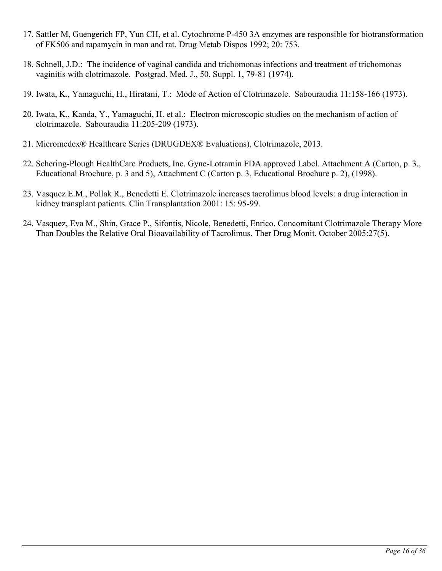- 17. Sattler M, Guengerich FP, Yun CH, et al. Cytochrome P-450 3A enzymes are responsible for biotransformation of FK506 and rapamycin in man and rat. Drug Metab Dispos 1992; 20: 753.
- 18. Schnell, J.D.: The incidence of vaginal candida and trichomonas infections and treatment of trichomonas vaginitis with clotrimazole. Postgrad. Med. J., 50, Suppl. 1, 79-81 (1974).
- 19. Iwata, K., Yamaguchi, H., Hiratani, T.: Mode of Action of Clotrimazole. Sabouraudia 11:158-166 (1973).
- 20. Iwata, K., Kanda, Y., Yamaguchi, H. et al.: Electron microscopic studies on the mechanism of action of clotrimazole. Sabouraudia 11:205-209 (1973).
- 21. Micromedex® Healthcare Series (DRUGDEX® Evaluations), Clotrimazole, 2013.
- 22. Schering-Plough HealthCare Products, Inc. Gyne-Lotramin FDA approved Label. Attachment A (Carton, p. 3., Educational Brochure, p. 3 and 5), Attachment C (Carton p. 3, Educational Brochure p. 2), (1998).
- 23. Vasquez E.M., Pollak R., Benedetti E. Clotrimazole increases tacrolimus blood levels: a drug interaction in kidney transplant patients. Clin Transplantation 2001: 15: 95-99.
- 24. Vasquez, Eva M., Shin, Grace P., Sifontis, Nicole, Benedetti, Enrico. Concomitant Clotrimazole Therapy More Than Doubles the Relative Oral Bioavailability of Tacrolimus. Ther Drug Monit. October 2005:27(5).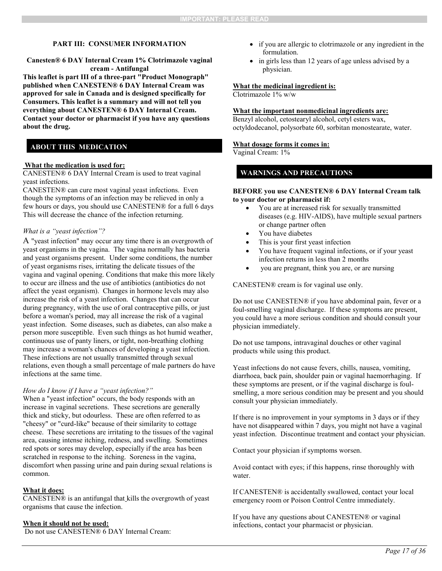**Canesten® 6 DAY Internal Cream 1% Clotrimazole vaginal cream - Antifungal**

**This leaflet is part III of a three-part "Product Monograph" published when CANESTEN® 6 DAY Internal Cream was approved for sale in Canada and is designed specifically for Consumers. This leaflet is a summary and will not tell you everything about CANESTEN® 6 DAY Internal Cream. Contact your doctor or pharmacist if you have any questions about the drug.** 

# **ABOUT THIS MEDICATION**

#### **What the medication is used for:**

CANESTEN® 6 DAY Internal Cream is used to treat vaginal yeast infections.

CANESTEN® can cure most vaginal yeast infections. Even though the symptoms of an infection may be relieved in only a few hours or days, you should use CANESTEN® for a full 6 days This will decrease the chance of the infection returning.

#### *What is a "yeast infection"?*

A "yeast infection" may occur any time there is an overgrowth of yeast organisms in the vagina. The vagina normally has bacteria and yeast organisms present. Under some conditions, the number of yeast organisms rises, irritating the delicate tissues of the vagina and vaginal opening. Conditions that make this more likely to occur are illness and the use of antibiotics (antibiotics do not affect the yeast organism). Changes in hormone levels may also increase the risk of a yeast infection. Changes that can occur during pregnancy, with the use of oral contraceptive pills, or just before a woman's period, may all increase the risk of a vaginal yeast infection. Some diseases, such as diabetes, can also make a person more susceptible. Even such things as hot humid weather, continuous use of panty liners, or tight, non-breathing clothing may increase a woman's chances of developing a yeast infection. These infections are not usually transmitted through sexual relations, even though a small percentage of male partners do have infections at the same time.

#### *How do I know if I have a "yeast infection?"*

When a "yeast infection" occurs, the body responds with an increase in vaginal secretions. These secretions are generally thick and sticky, but odourless. These are often referred to as "cheesy" or "curd-like" because of their similarity to cottage cheese. These secretions are irritating to the tissues of the vaginal area, causing intense itching, redness, and swelling. Sometimes red spots or sores may develop, especially if the area has been scratched in response to the itching. Soreness in the vagina, discomfort when passing urine and pain during sexual relations is common.

#### **What it does:**

CANESTEN® is an antifungal that kills the overgrowth of yeast organisms that cause the infection.

#### **When it should not be used:**

Do not use CANESTEN® 6 DAY Internal Cream:

- if you are allergic to clotrimazole or any ingredient in the formulation.
- in girls less than 12 years of age unless advised by a physician.

#### <span id="page-16-0"></span>**What the medicinal ingredient is:**

Clotrimazole 1% w/w

#### **What the important nonmedicinal ingredients are:**

Benzyl alcohol, cetostearyl alcohol, cetyl esters wax, octyldodecanol, polysorbate 60, sorbitan monostearate, water.

#### **What dosage forms it comes in:**

Vaginal Cream: 1%

## **WARNINGS AND PRECAUTIONS**

#### **BEFORE you use CANESTEN® 6 DAY Internal Cream talk to your doctor or pharmacist if:**

- You are at increased risk for sexually transmitted diseases (e.g. HIV-AIDS), have multiple sexual partners or change partner often
- You have diabetes
- This is your first yeast infection
- You have frequent vaginal infections, or if your yeast infection returns in less than 2 months
- you are pregnant, think you are, or are nursing

CANESTEN® cream is for vaginal use only.

Do not use CANESTEN® if you have abdominal pain, fever or a foul-smelling vaginal discharge. If these symptoms are present, you could have a more serious condition and should consult your physician immediately.

Do not use tampons, intravaginal douches or other vaginal products while using this product.

Yeast infections do not cause fevers, chills, nausea, vomiting, diarrhoea, back pain, shoulder pain or vaginal haemorrhaging. If these symptoms are present, or if the vaginal discharge is foulsmelling, a more serious condition may be present and you should consult your physician immediately.

If there is no improvement in your symptoms in 3 days or if they have not disappeared within 7 days, you might not have a vaginal yeast infection. Discontinue treatment and contact your physician.

Contact your physician if symptoms worsen.

Avoid contact with eyes; if this happens, rinse thoroughly with water.

If CANESTEN® is accidentally swallowed, contact your local emergency room or Poison Control Centre immediately.

If you have any questions about CANESTEN® or vaginal infections, contact your pharmacist or physician.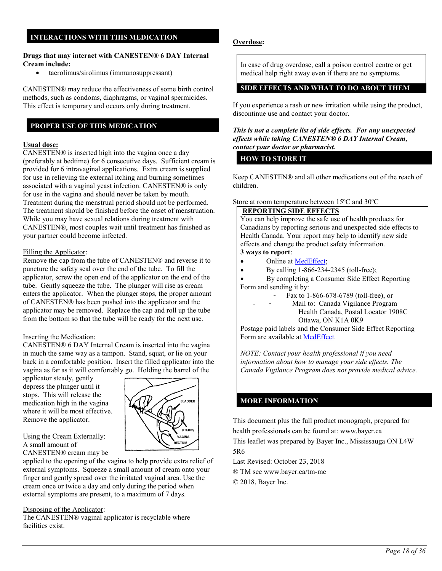## **INTERACTIONS WITH THIS MEDICATION**

#### **Drugs that may interact with CANESTEN® 6 DAY Internal Cream include:**

tacrolimus/sirolimus (immunosuppressant)

CANESTEN® may reduce the effectiveness of some birth control methods, such as condoms, diaphragms, or vaginal spermicides. This effect is temporary and occurs only during treatment.

## **PROPER USE OF THIS MEDICATION**

#### **Usual dose:**

CANESTEN® is inserted high into the vagina once a day (preferably at bedtime) for 6 consecutive days. Sufficient cream is provided for 6 intravaginal applications. Extra cream is supplied for use in relieving the external itching and burning sometimes associated with a vaginal yeast infection. CANESTEN® is only for use in the vagina and should never be taken by mouth. Treatment during the menstrual period should not be performed. The treatment should be finished before the onset of menstruation. While you may have sexual relations during treatment with CANESTEN®, most couples wait until treatment has finished as your partner could become infected.

#### Filling the Applicator:

Remove the cap from the tube of CANESTEN® and reverse it to puncture the safety seal over the end of the tube. To fill the applicator, screw the open end of the applicator on the end of the tube. Gently squeeze the tube. The plunger will rise as cream enters the applicator. When the plunger stops, the proper amount of CANESTEN® has been pushed into the applicator and the applicator may be removed. Replace the cap and roll up the tube from the bottom so that the tube will be ready for the next use.

### Inserting the Medication:

CANESTEN® 6 DAY Internal Cream is inserted into the vagina in much the same way as a tampon. Stand, squat, or lie on your back in a comfortable position. Insert the filled applicator into the vagina as far as it will comfortably go. Holding the barrel of the

applicator steady, gently depress the plunger until it stops. This will release the medication high in the vagina where it will be most effective. Remove the applicator.



# Using the Cream Externally:

A small amount of

CANESTEN® cream may be applied to the opening of the vagina to help provide extra relief of external symptoms. Squeeze a small amount of cream onto your finger and gently spread over the irritated vaginal area. Use the cream once or twice a day and only during the period when external symptoms are present, to a maximum of 7 days.

### Disposing of the Applicator:

The CANESTEN® vaginal applicator is recyclable where facilities exist.

## **Overdose:**

In case of drug overdose, call a poison control centre or get medical help right away even if there are no symptoms.

## **SIDE EFFECTS AND WHAT TO DO ABOUT THEM**

If you experience a rash or new irritation while using the product, discontinue use and contact your doctor.

#### *This is not a complete list of side effects. For any unexpected effects while taking CANESTEN® 6 DAY Internal Cream, contact your doctor or pharmacist.*

## **HOW TO STORE IT**

Keep CANESTEN® and all other medications out of the reach of children.

#### Store at room temperature between 15ºC and 30ºC

# **REPORTING SIDE EFFECTS**

You can help improve the safe use of health products for Canadians by reporting serious and unexpected side effects to Health Canada. Your report may help to identify new side effects and change the product safety information. **3 ways to report**:

# • Online at [MedEffect;](http://hc-sc.gc.ca/dhp-mps/medeff/index-eng.php)

By calling  $1-866-234-2345$  (toll-free);

 By completing a Consumer Side Effect Reporting Form and sending it by:

- Fax to 1-866-678-6789 (toll-free), or
	- Mail to: Canada Vigilance Program Health Canada, Postal Locator 1908C Ottawa, ON K1A 0K9

Postage paid labels and the Consumer Side Effect Reporting Form are available at [MedEffect.](http://hc-sc.gc.ca/dhp-mps/medeff/index-eng.php)

*NOTE: Contact your health professional if you need information about how to manage your side effects. The Canada Vigilance Program does not provide medical advice.*

# **MORE INFORMATION**

This document plus the full product monograph, prepared for health professionals can be found at: www.bayer.ca This leaflet was prepared by Bayer Inc., Mississauga ON L4W

5R6

Last Revised: October 23, 2018

® TM se[e www.bayer.ca/tm-mc](http://www.bayer.ca/tm-mc)

© 2018, Bayer Inc.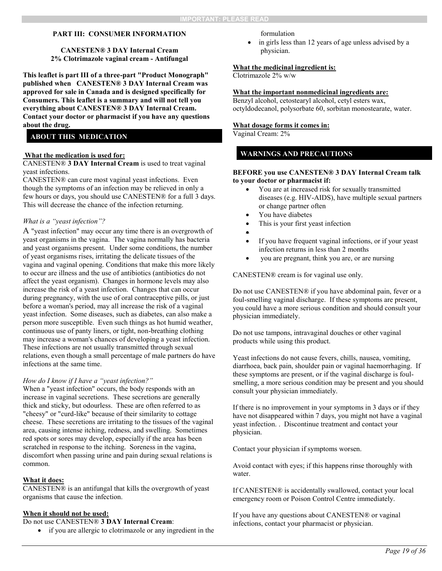**CANESTEN® 3 DAY Internal Cream 2% Clotrimazole vaginal cream - Antifungal**

**This leaflet is part III of a three-part "Product Monograph" published when CANESTEN® 3 DAY Internal Cream was approved for sale in Canada and is designed specifically for Consumers. This leaflet is a summary and will not tell you everything about CANESTEN® 3 DAY Internal Cream. Contact your doctor or pharmacist if you have any questions about the drug.** 

## **ABOUT THIS MEDICATION**

#### **What the medication is used for:**

CANESTEN® **3 DAY Internal Cream** is used to treat vaginal yeast infections.

CANESTEN® can cure most vaginal yeast infections. Even though the symptoms of an infection may be relieved in only a few hours or days, you should use CANESTEN® for a full 3 days. This will decrease the chance of the infection returning.

#### *What is a "yeast infection"?*

A "yeast infection" may occur any time there is an overgrowth of yeast organisms in the vagina. The vagina normally has bacteria and yeast organisms present. Under some conditions, the number of yeast organisms rises, irritating the delicate tissues of the vagina and vaginal opening. Conditions that make this more likely to occur are illness and the use of antibiotics (antibiotics do not affect the yeast organism). Changes in hormone levels may also increase the risk of a yeast infection. Changes that can occur during pregnancy, with the use of oral contraceptive pills, or just before a woman's period, may all increase the risk of a vaginal yeast infection. Some diseases, such as diabetes, can also make a person more susceptible. Even such things as hot humid weather, continuous use of panty liners, or tight, non-breathing clothing may increase a woman's chances of developing a yeast infection. These infections are not usually transmitted through sexual relations, even though a small percentage of male partners do have infections at the same time.

#### *How do I know if I have a "yeast infection?"*

When a "yeast infection" occurs, the body responds with an increase in vaginal secretions. These secretions are generally thick and sticky, but odourless. These are often referred to as "cheesy" or "curd-like" because of their similarity to cottage cheese. These secretions are irritating to the tissues of the vaginal area, causing intense itching, redness, and swelling. Sometimes red spots or sores may develop, especially if the area has been scratched in response to the itching. Soreness in the vagina, discomfort when passing urine and pain during sexual relations is common.

#### **What it does:**

CANESTEN® is an antifungal that kills the overgrowth of yeast organisms that cause the infection.

### **When it should not be used:**

Do not use CANESTEN® **3 DAY Internal Cream**:

if you are allergic to clotrimazole or any ingredient in the

formulation

 in girls less than 12 years of age unless advised by a physician.

#### **What the medicinal ingredient is:**

Clotrimazole 2% w/w

### **What the important nonmedicinal ingredients are:**

Benzyl alcohol, cetostearyl alcohol, cetyl esters wax, octyldodecanol, polysorbate 60, sorbitan monostearate, water.

#### **What dosage forms it comes in:**

Vaginal Cream: 2%

## **WARNINGS AND PRECAUTIONS**

#### **BEFORE you use CANESTEN® 3 DAY Internal Cream talk to your doctor or pharmacist if:**

- You are at increased risk for sexually transmitted diseases (e.g. HIV-AIDS), have multiple sexual partners or change partner often
- You have diabetes
- This is your first yeast infection
- $\bullet$
- If you have frequent vaginal infections, or if your yeast infection returns in less than 2 months
- you are pregnant, think you are, or are nursing

CANESTEN® cream is for vaginal use only.

Do not use CANESTEN® if you have abdominal pain, fever or a foul-smelling vaginal discharge. If these symptoms are present, you could have a more serious condition and should consult your physician immediately.

Do not use tampons, intravaginal douches or other vaginal products while using this product.

Yeast infections do not cause fevers, chills, nausea, vomiting, diarrhoea, back pain, shoulder pain or vaginal haemorrhaging. If these symptoms are present, or if the vaginal discharge is foulsmelling, a more serious condition may be present and you should consult your physician immediately.

If there is no improvement in your symptoms in 3 days or if they have not disappeared within 7 days, you might not have a vaginal yeast infection. . Discontinue treatment and contact your physician.

Contact your physician if symptoms worsen.

Avoid contact with eyes; if this happens rinse thoroughly with water.

If CANESTEN® is accidentally swallowed, contact your local emergency room or Poison Control Centre immediately.

If you have any questions about CANESTEN® or vaginal infections, contact your pharmacist or physician.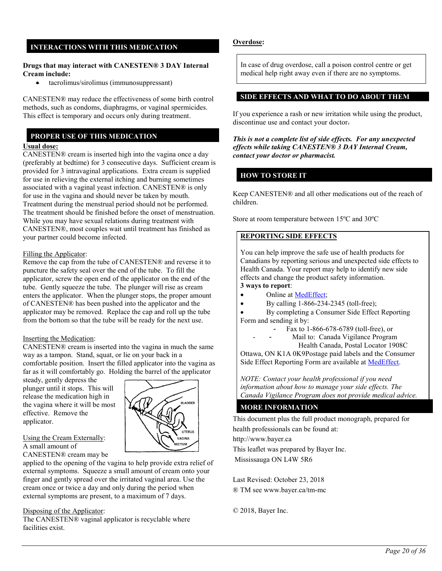# **INTERACTIONS WITH THIS MEDICATION**

#### **Drugs that may interact with CANESTEN® 3 DAY Internal Cream include:**

tacrolimus/sirolimus (immunosuppressant)

CANESTEN® may reduce the effectiveness of some birth control methods, such as condoms, diaphragms, or vaginal spermicides. This effect is temporary and occurs only during treatment.

## **PROPER USE OF THIS MEDICATION**

### **Usual dose:**

CANESTEN® cream is inserted high into the vagina once a day (preferably at bedtime) for 3 consecutive days. Sufficient cream is provided for 3 intravaginal applications. Extra cream is supplied for use in relieving the external itching and burning sometimes associated with a vaginal yeast infection. CANESTEN® is only for use in the vagina and should never be taken by mouth. Treatment during the menstrual period should not be performed. The treatment should be finished before the onset of menstruation. While you may have sexual relations during treatment with CANESTEN®, most couples wait until treatment has finished as your partner could become infected.

### Filling the Applicator:

Remove the cap from the tube of CANESTEN® and reverse it to puncture the safety seal over the end of the tube. To fill the applicator, screw the open end of the applicator on the end of the tube. Gently squeeze the tube. The plunger will rise as cream enters the applicator. When the plunger stops, the proper amount of CANESTEN® has been pushed into the applicator and the applicator may be removed. Replace the cap and roll up the tube from the bottom so that the tube will be ready for the next use.

### Inserting the Medication:

CANESTEN® cream is inserted into the vagina in much the same way as a tampon. Stand, squat, or lie on your back in a comfortable position. Insert the filled applicator into the vagina as far as it will comfortably go. Holding the barrel of the applicator

steady, gently depress the plunger until it stops. This will release the medication high in the vagina where it will be most effective. Remove the applicator.



# Using the Cream Externally:

A small amount of

CANESTEN® cream may be applied to the opening of the vagina to help provide extra relief of external symptoms. Squeeze a small amount of cream onto your finger and gently spread over the irritated vaginal area. Use the cream once or twice a day and only during the period when external symptoms are present, to a maximum of 7 days.

### Disposing of the Applicator:

The CANESTEN® vaginal applicator is recyclable where facilities exist.

## **Overdose:**

In case of drug overdose, call a poison control centre or get medical help right away even if there are no symptoms.

### **SIDE EFFECTS AND WHAT TO DO ABOUT THEM**

If you experience a rash or new irritation while using the product, discontinue use and contact your doctor.

*This is not a complete list of side effects. For any unexpected effects while taking CANESTEN® 3 DAY Internal Cream, contact your doctor or pharmacist.*

## **HOW TO STORE IT**

Keep CANESTEN® and all other medications out of the reach of children.

Store at room temperature between 15ºC and 30ºC

# **REPORTING SIDE EFFECTS**

You can help improve the safe use of health products for Canadians by reporting serious and unexpected side effects to Health Canada. Your report may help to identify new side effects and change the product safety information. **3 ways to report**:

- Online at [MedEffect;](http://hc-sc.gc.ca/dhp-mps/medeff/index-eng.php)
- By calling  $1-866-234-2345$  (toll-free);
- By completing a Consumer Side Effect Reporting Form and sending it by:
	- Fax to 1-866-678-6789 (toll-free), or
	- Mail to: Canada Vigilance Program
		- Health Canada, Postal Locator 1908C

Ottawa, ON K1A 0K9Postage paid labels and the Consumer Side Effect Reporting Form are available at [MedEffect.](http://hc-sc.gc.ca/dhp-mps/medeff/index-eng.php)

*NOTE: Contact your health professional if you need information about how to manage your side effects. The Canada Vigilance Program does not provide medical advice.*

### **MORE INFORMATION**

This document plus the full product monograph, prepared for

health professionals can be found at:

http://www.bayer.ca

This leaflet was prepared by Bayer Inc.

Mississauga ON L4W 5R6

Last Revised: October 23, 2018 ® TM se[e www.bayer.ca/tm-mc](http://www.bayer.ca/tm-mc)

© 2018, Bayer Inc.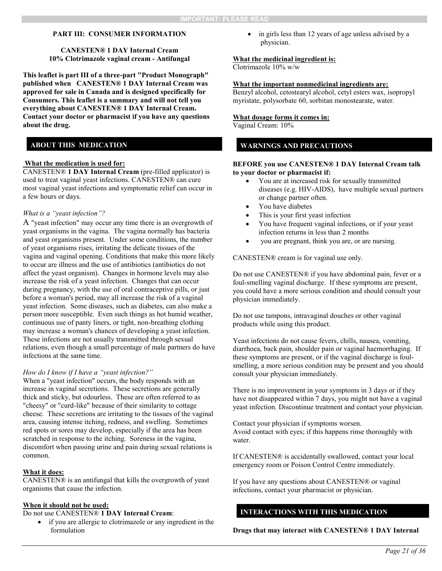**CANESTEN® 1 DAY Internal Cream 10% Clotrimazole vaginal cream - Antifungal**

**This leaflet is part III of a three-part "Product Monograph" published when CANESTEN® 1 DAY Internal Cream was approved for sale in Canada and is designed specifically for Consumers. This leaflet is a summary and will not tell you everything about CANESTEN® 1 DAY Internal Cream. Contact your doctor or pharmacist if you have any questions about the drug.** 

## **ABOUT THIS MEDICATION**

#### **What the medication is used for:**

CANESTEN® **1 DAY Internal Cream** (pre-filled applicator) is used to treat vaginal yeast infections. CANESTEN® can cure most vaginal yeast infections and symptomatic relief can occur in a few hours or days.

#### *What is a "yeast infection"?*

A "yeast infection" may occur any time there is an overgrowth of yeast organisms in the vagina. The vagina normally has bacteria and yeast organisms present. Under some conditions, the number of yeast organisms rises, irritating the delicate tissues of the vagina and vaginal opening. Conditions that make this more likely to occur are illness and the use of antibiotics (antibiotics do not affect the yeast organism). Changes in hormone levels may also increase the risk of a yeast infection. Changes that can occur during pregnancy, with the use of oral contraceptive pills, or just before a woman's period, may all increase the risk of a vaginal yeast infection. Some diseases, such as diabetes, can also make a person more susceptible. Even such things as hot humid weather, continuous use of panty liners, or tight, non-breathing clothing may increase a woman's chances of developing a yeast infection. These infections are not usually transmitted through sexual relations, even though a small percentage of male partners do have infections at the same time.

#### *How do I know if I have a "yeast infection?"*

When a "yeast infection" occurs, the body responds with an increase in vaginal secretions. These secretions are generally thick and sticky, but odourless. These are often referred to as "cheesy" or "curd-like" because of their similarity to cottage cheese. These secretions are irritating to the tissues of the vaginal area, causing intense itching, redness, and swelling. Sometimes red spots or sores may develop, especially if the area has been scratched in response to the itching. Soreness in the vagina, discomfort when passing urine and pain during sexual relations is common.

#### **What it does:**

CANESTEN® is an antifungal that kills the overgrowth of yeast organisms that cause the infection.

## **When it should not be used:**

Do not use CANESTEN® **1 DAY Internal Cream**:

 if you are allergic to clotrimazole or any ingredient in the formulation

 in girls less than 12 years of age unless advised by a physician.

### **What the medicinal ingredient is:**

Clotrimazole 10% w/w

#### **What the important nonmedicinal ingredients are:**

Benzyl alcohol, cetostearyl alcohol, cetyl esters wax, isopropyl myristate, polysorbate 60, sorbitan monostearate, water.

#### **What dosage forms it comes in:**

Vaginal Cream: 10%

### **WARNINGS AND PRECAUTIONS**

#### **BEFORE you use CANESTEN® 1 DAY Internal Cream talk to your doctor or pharmacist if:**

- You are at increased risk for sexually transmitted diseases (e.g. HIV-AIDS), have multiple sexual partners or change partner often.
- You have diabetes
- This is your first yeast infection
- You have frequent vaginal infections, or if your yeast infection returns in less than 2 months
- you are pregnant, think you are, or are nursing.

CANESTEN® cream is for vaginal use only.

Do not use CANESTEN® if you have abdominal pain, fever or a foul-smelling vaginal discharge. If these symptoms are present, you could have a more serious condition and should consult your physician immediately.

Do not use tampons, intravaginal douches or other vaginal products while using this product.

Yeast infections do not cause fevers, chills, nausea, vomiting, diarrhoea, back pain, shoulder pain or vaginal haemorrhaging. If these symptoms are present, or if the vaginal discharge is foulsmelling, a more serious condition may be present and you should consult your physician immediately.

There is no improvement in your symptoms in 3 days or if they have not disappeared within 7 days, you might not have a vaginal yeast infection. Discontinue treatment and contact your physician.

Contact your physician if symptoms worsen. Avoid contact with eyes; if this happens rinse thoroughly with water.

If CANESTEN® is accidentally swallowed, contact your local emergency room or Poison Control Centre immediately.

If you have any questions about CANESTEN® or vaginal infections, contact your pharmacist or physician.

# **INTERACTIONS WITH THIS MEDICATION**

**Drugs that may interact with CANESTEN® 1 DAY Internal**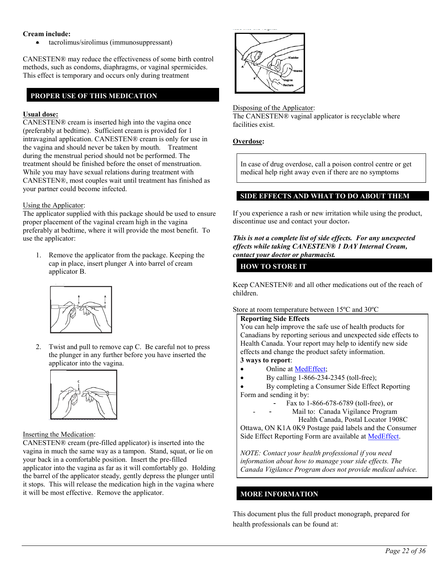## **Cream include:**

tacrolimus/sirolimus (immunosuppressant)

CANESTEN® may reduce the effectiveness of some birth control methods, such as condoms, diaphragms, or vaginal spermicides. This effect is temporary and occurs only during treatment

# **PROPER USE OF THIS MEDICATION**

## **Usual dose:**

CANESTEN® cream is inserted high into the vagina once (preferably at bedtime). Sufficient cream is provided for 1 intravaginal application. CANESTEN® cream is only for use in the vagina and should never be taken by mouth. Treatment during the menstrual period should not be performed. The treatment should be finished before the onset of menstruation. While you may have sexual relations during treatment with CANESTEN®, most couples wait until treatment has finished as your partner could become infected.

### Using the Applicator:

The applicator supplied with this package should be used to ensure proper placement of the vaginal cream high in the vagina preferably at bedtime, where it will provide the most benefit. To use the applicator:

1. Remove the applicator from the package. Keeping the cap in place, insert plunger A into barrel of cream applicator B.



2. Twist and pull to remove cap C. Be careful not to press the plunger in any further before you have inserted the applicator into the vagina.



## Inserting the Medication:

CANESTEN® cream (pre-filled applicator) is inserted into the vagina in much the same way as a tampon. Stand, squat, or lie on your back in a comfortable position. Insert the pre-filled applicator into the vagina as far as it will comfortably go. Holding the barrel of the applicator steady, gently depress the plunger until it stops. This will release the medication high in the vagina where it will be most effective. Remove the applicator.



#### Disposing of the Applicator:

The CANESTEN® vaginal applicator is recyclable where facilities exist.

## **Overdose:**

In case of drug overdose, call a poison control centre or get medical help right away even if there are no symptoms

### **SIDE EFFECTS AND WHAT TO DO ABOUT THEM**

If you experience a rash or new irritation while using the product, discontinue use and contact your doctor.

#### *This is not a complete list of side effects. For any unexpected effects while taking CANESTEN® 1 DAY Internal Cream, contact your doctor or pharmacist.*

## **HOW TO STORE IT**

Keep CANESTEN® and all other medications out of the reach of children.

### Store at room temperature between 15ºC and 30ºC

#### **Reporting Side Effects**

You can help improve the safe use of health products for Canadians by reporting serious and unexpected side effects to Health Canada. Your report may help to identify new side effects and change the product safety information. **3 ways to report**:

- Online at [MedEffect;](http://hc-sc.gc.ca/dhp-mps/medeff/index-eng.php)
- By calling  $1-866-234-2345$  (toll-free);
- By completing a Consumer Side Effect Reporting Form and sending it by:
	- Fax to 1-866-678-6789 (toll-free), or
		- Mail to: Canada Vigilance Program
			- Health Canada, Postal Locator 1908C

Ottawa, ON K1A 0K9 Postage paid labels and the Consumer Side Effect Reporting Form are available at [MedEffect.](http://hc-sc.gc.ca/dhp-mps/medeff/index-eng.php)

*NOTE: Contact your health professional if you need information about how to manage your side effects. The Canada Vigilance Program does not provide medical advice.*

## **MORE INFORMATION**

This document plus the full product monograph, prepared for health professionals can be found at: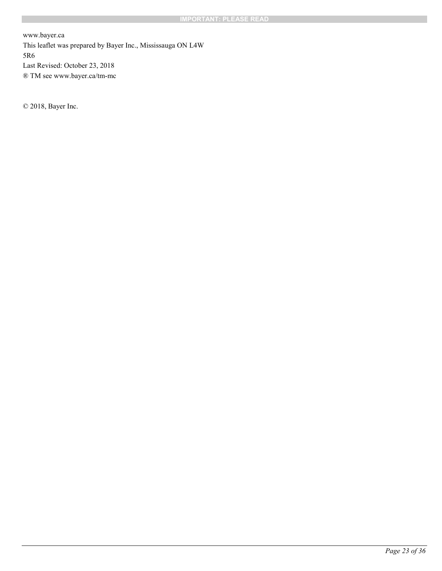www.bayer.ca This leaflet was prepared by Bayer Inc., Mississauga ON L4W 5R6 Last Revised: October 23, 2018 ® TM se[e www.bayer.ca/tm-mc](http://www.bayer.ca/tm-mc)

© 2018, Bayer Inc.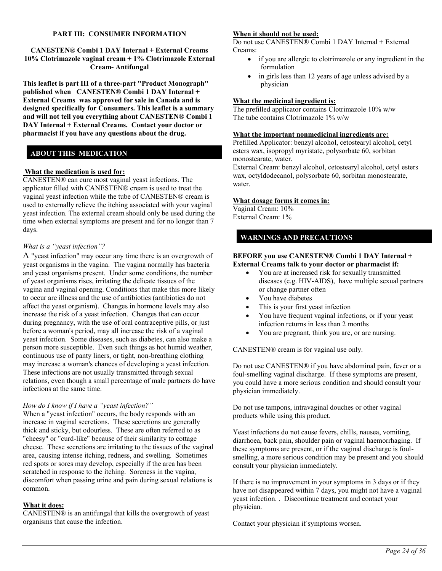**CANESTEN® Combi 1 DAY Internal + External Creams 10% Clotrimazole vaginal cream + 1% Clotrimazole External Cream- Antifungal**

**This leaflet is part III of a three-part "Product Monograph" published when CANESTEN® Combi 1 DAY Internal + External Creams was approved for sale in Canada and is designed specifically for Consumers. This leaflet is a summary and will not tell you everything about CANESTEN® Combi 1 DAY Internal + External Creams. Contact your doctor or pharmacist if you have any questions about the drug.** 

# **ABOUT THIS MEDICATION**

#### **What the medication is used for:**

CANESTEN® can cure most vaginal yeast infections. The applicator filled with CANESTEN® cream is used to treat the vaginal yeast infection while the tube of CANESTEN® cream is used to externally relieve the itching associated with your vaginal yeast infection. The external cream should only be used during the time when external symptoms are present and for no longer than 7 days.

#### *What is a "yeast infection"?*

A "yeast infection" may occur any time there is an overgrowth of yeast organisms in the vagina. The vagina normally has bacteria and yeast organisms present. Under some conditions, the number of yeast organisms rises, irritating the delicate tissues of the vagina and vaginal opening. Conditions that make this more likely to occur are illness and the use of antibiotics (antibiotics do not affect the yeast organism). Changes in hormone levels may also increase the risk of a yeast infection. Changes that can occur during pregnancy, with the use of oral contraceptive pills, or just before a woman's period, may all increase the risk of a vaginal yeast infection. Some diseases, such as diabetes, can also make a person more susceptible. Even such things as hot humid weather, continuous use of panty liners, or tight, non-breathing clothing may increase a woman's chances of developing a yeast infection. These infections are not usually transmitted through sexual relations, even though a small percentage of male partners do have infections at the same time.

### *How do I know if I have a "yeast infection?"*

When a "yeast infection" occurs, the body responds with an increase in vaginal secretions. These secretions are generally thick and sticky, but odourless. These are often referred to as "cheesy" or "curd-like" because of their similarity to cottage cheese. These secretions are irritating to the tissues of the vaginal area, causing intense itching, redness, and swelling. Sometimes red spots or sores may develop, especially if the area has been scratched in response to the itching. Soreness in the vagina, discomfort when passing urine and pain during sexual relations is common.

### **What it does:**

CANESTEN® is an antifungal that kills the overgrowth of yeast organisms that cause the infection.

# **When it should not be used:**

Do not use CANESTEN® Combi 1 DAY Internal + External Creams:

- if you are allergic to clotrimazole or any ingredient in the formulation
- in girls less than 12 years of age unless advised by a physician

### **What the medicinal ingredient is:**

The prefilled applicator contains Clotrimazole 10% w/w The tube contains Clotrimazole 1% w/w

#### **What the important nonmedicinal ingredients are:**

Prefilled Applicator: benzyl alcohol, cetostearyl alcohol, cetyl esters wax, isopropyl myristate, polysorbate 60, sorbitan monostearate, water.

External Cream: benzyl alcohol, cetostearyl alcohol, cetyl esters wax, octyldodecanol, polysorbate 60, sorbitan monostearate, water.

#### **What dosage forms it comes in:**

Vaginal Cream: 10% External Cream: 1%

## **WARNINGS AND PRECAUTIONS**

#### **BEFORE you use CANESTEN® Combi 1 DAY Internal + External Creams talk to your doctor or pharmacist if:**

- You are at increased risk for sexually transmitted diseases (e.g. HIV-AIDS), have multiple sexual partners or change partner often
- You have diabetes
- This is your first yeast infection
- You have frequent vaginal infections, or if your yeast infection returns in less than 2 months
- You are pregnant, think you are, or are nursing.

CANESTEN® cream is for vaginal use only.

Do not use CANESTEN® if you have abdominal pain, fever or a foul-smelling vaginal discharge. If these symptoms are present, you could have a more serious condition and should consult your physician immediately.

Do not use tampons, intravaginal douches or other vaginal products while using this product.

Yeast infections do not cause fevers, chills, nausea, vomiting, diarrhoea, back pain, shoulder pain or vaginal haemorrhaging. If these symptoms are present, or if the vaginal discharge is foulsmelling, a more serious condition may be present and you should consult your physician immediately.

If there is no improvement in your symptoms in 3 days or if they have not disappeared within 7 days, you might not have a vaginal yeast infection. . Discontinue treatment and contact your physician.

Contact your physician if symptoms worsen.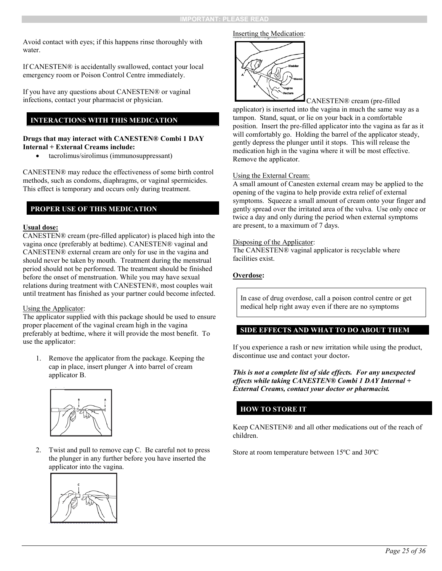Avoid contact with eyes; if this happens rinse thoroughly with water.

If CANESTEN® is accidentally swallowed, contact your local emergency room or Poison Control Centre immediately.

If you have any questions about CANESTEN® or vaginal infections, contact your pharmacist or physician.

# **INTERACTIONS WITH THIS MEDICATION**

### **Drugs that may interact with CANESTEN® Combi 1 DAY Internal + External Creams include:**

tacrolimus/sirolimus (immunosuppressant)

CANESTEN® may reduce the effectiveness of some birth control methods, such as condoms, diaphragms, or vaginal spermicides. This effect is temporary and occurs only during treatment.

## **PROPER USE OF THIS MEDICATION**

### **Usual dose:**

CANESTEN® cream (pre-filled applicator) is placed high into the vagina once (preferably at bedtime). CANESTEN® vaginal and CANESTEN® external cream are only for use in the vagina and should never be taken by mouth. Treatment during the menstrual period should not be performed. The treatment should be finished before the onset of menstruation. While you may have sexual relations during treatment with CANESTEN®, most couples wait until treatment has finished as your partner could become infected.

#### Using the Applicator:

The applicator supplied with this package should be used to ensure proper placement of the vaginal cream high in the vagina preferably at bedtime, where it will provide the most benefit. To use the applicator:

1. Remove the applicator from the package. Keeping the cap in place, insert plunger A into barrel of cream applicator B.



2. Twist and pull to remove cap C. Be careful not to press the plunger in any further before you have inserted the applicator into the vagina.



#### Inserting the Medication:



CANESTEN® cream (pre-filled applicator) is inserted into the vagina in much the same way as a tampon. Stand, squat, or lie on your back in a comfortable position. Insert the pre-filled applicator into the vagina as far as it will comfortably go. Holding the barrel of the applicator steady, gently depress the plunger until it stops. This will release the medication high in the vagina where it will be most effective. Remove the applicator.

### Using the External Cream:

A small amount of Canesten external cream may be applied to the opening of the vagina to help provide extra relief of external symptoms. Squeeze a small amount of cream onto your finger and gently spread over the irritated area of the vulva. Use only once or twice a day and only during the period when external symptoms are present, to a maximum of 7 days.

#### Disposing of the Applicator:

The CANESTEN® vaginal applicator is recyclable where facilities exist.

### **Overdose:**

In case of drug overdose, call a poison control centre or get medical help right away even if there are no symptoms

### **SIDE EFFECTS AND WHAT TO DO ABOUT THEM**

If you experience a rash or new irritation while using the product, discontinue use and contact your doctor.

*This is not a complete list of side effects. For any unexpected effects while taking CANESTEN® Combi 1 DAY Internal + External Creams, contact your doctor or pharmacist.*

## **HOW TO STORE IT**

Keep CANESTEN® and all other medications out of the reach of children.

Store at room temperature between 15ºC and 30ºC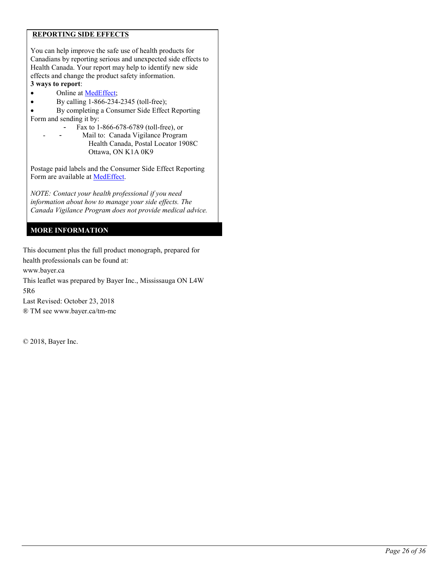## **REPORTING SIDE EFFECTS**

You can help improve the safe use of health products for Canadians by reporting serious and unexpected side effects to Health Canada. Your report may help to identify new side effects and change the product safety information. **3 ways to report**:

- Online at [MedEffect;](http://hc-sc.gc.ca/dhp-mps/medeff/index-eng.php)
- By calling  $1-866-234-2345$  (toll-free);
- By completing a Consumer Side Effect Reporting Form and sending it by:
	- Fax to 1-866-678-6789 (toll-free), or
	- Mail to: Canada Vigilance Program Health Canada, Postal Locator 1908C Ottawa, ON K1A 0K9

Postage paid labels and the Consumer Side Effect Reporting Form are available at [MedEffect.](http://hc-sc.gc.ca/dhp-mps/medeff/index-eng.php)

*NOTE: Contact your health professional if you need information about how to manage your side effects. The Canada Vigilance Program does not provide medical advice.*

## **MORE INFORMATION**

This document plus the full product monograph, prepared for health professionals can be found at:

www.bayer.ca

This leaflet was prepared by Bayer Inc., Mississauga ON L4W 5R6

Last Revised: October 23, 2018

® TM se[e www.bayer.ca/tm-mc](http://www.bayer.ca/tm-mc)

© 2018, Bayer Inc.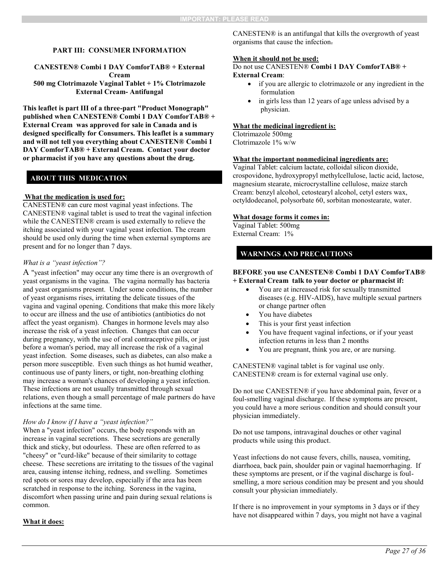**CANESTEN® Combi 1 DAY ComforTAB® + External Cream 500 mg Clotrimazole Vaginal Tablet + 1% Clotrimazole External Cream- Antifungal**

**This leaflet is part III of a three-part "Product Monograph" published when CANESTEN® Combi 1 DAY ComforTAB® + External Cream was approved for sale in Canada and is designed specifically for Consumers. This leaflet is a summary and will not tell you everything about CANESTEN® Combi 1 DAY ComforTAB® + External Cream. Contact your doctor or pharmacist if you have any questions about the drug.** 

# **ABOUT THIS MEDICATION**

### **What the medication is used for:**

CANESTEN® can cure most vaginal yeast infections. The CANESTEN® vaginal tablet is used to treat the vaginal infection while the CANESTEN® cream is used externally to relieve the itching associated with your vaginal yeast infection. The cream should be used only during the time when external symptoms are present and for no longer than 7 days.

## *What is a "yeast infection"?*

A "yeast infection" may occur any time there is an overgrowth of yeast organisms in the vagina. The vagina normally has bacteria and yeast organisms present. Under some conditions, the number of yeast organisms rises, irritating the delicate tissues of the vagina and vaginal opening. Conditions that make this more likely to occur are illness and the use of antibiotics (antibiotics do not affect the yeast organism). Changes in hormone levels may also increase the risk of a yeast infection. Changes that can occur during pregnancy, with the use of oral contraceptive pills, or just before a woman's period, may all increase the risk of a vaginal yeast infection. Some diseases, such as diabetes, can also make a person more susceptible. Even such things as hot humid weather, continuous use of panty liners, or tight, non-breathing clothing may increase a woman's chances of developing a yeast infection. These infections are not usually transmitted through sexual relations, even though a small percentage of male partners do have infections at the same time.

#### *How do I know if I have a "yeast infection?"*

When a "yeast infection" occurs, the body responds with an increase in vaginal secretions. These secretions are generally thick and sticky, but odourless. These are often referred to as "cheesy" or "curd-like" because of their similarity to cottage cheese. These secretions are irritating to the tissues of the vaginal area, causing intense itching, redness, and swelling. Sometimes red spots or sores may develop, especially if the area has been scratched in response to the itching. Soreness in the vagina, discomfort when passing urine and pain during sexual relations is common.

CANESTEN® is an antifungal that kills the overgrowth of yeast organisms that cause the infection.

#### **When it should not be used:**

Do not use CANESTEN® **Combi 1 DAY ComforTAB® + External Cream**:

- if you are allergic to clotrimazole or any ingredient in the formulation
- in girls less than 12 years of age unless advised by a physician.

#### **What the medicinal ingredient is:**

Clotrimazole 500mg Clotrimazole 1% w/w

#### **What the important nonmedicinal ingredients are:**

Vaginal Tablet: calcium lactate, colloidal silicon dioxide, crospovidone, hydroxypropyl methylcellulose, lactic acid, lactose, magnesium stearate, microcrystalline cellulose, maize starch Cream: benzyl alcohol, cetostearyl alcohol, cetyl esters wax, octyldodecanol, polysorbate 60, sorbitan monostearate, water.

#### **What dosage forms it comes in:**

Vaginal Tablet: 500mg External Cream: 1%

## **WARNINGS AND PRECAUTIONS**

#### **BEFORE you use CANESTEN® Combi 1 DAY ComforTAB® + External Cream talk to your doctor or pharmacist if:**

- You are at increased risk for sexually transmitted diseases (e.g. HIV-AIDS), have multiple sexual partners or change partner often
- You have diabetes
- This is your first yeast infection
- You have frequent vaginal infections, or if your yeast infection returns in less than 2 months
- You are pregnant, think you are, or are nursing.

CANESTEN® vaginal tablet is for vaginal use only. CANESTEN® cream is for external vaginal use only.

Do not use CANESTEN® if you have abdominal pain, fever or a foul-smelling vaginal discharge. If these symptoms are present, you could have a more serious condition and should consult your physician immediately.

Do not use tampons, intravaginal douches or other vaginal products while using this product.

Yeast infections do not cause fevers, chills, nausea, vomiting, diarrhoea, back pain, shoulder pain or vaginal haemorrhaging. If these symptoms are present, or if the vaginal discharge is foulsmelling, a more serious condition may be present and you should consult your physician immediately.

If there is no improvement in your symptoms in 3 days or if they have not disappeared within 7 days, you might not have a vaginal

### **What it does:**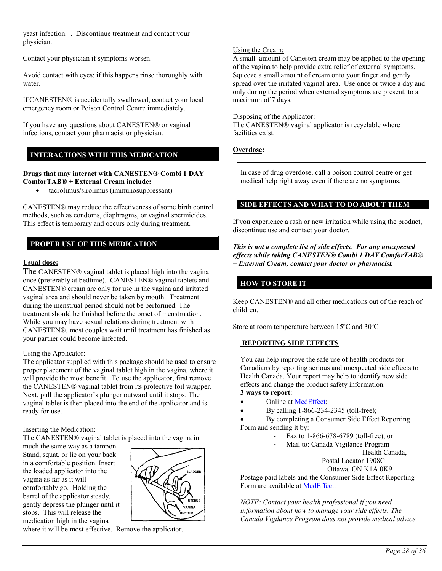yeast infection. . Discontinue treatment and contact your physician.

Contact your physician if symptoms worsen.

Avoid contact with eyes; if this happens rinse thoroughly with water.

If CANESTEN® is accidentally swallowed, contact your local emergency room or Poison Control Centre immediately.

If you have any questions about CANESTEN® or vaginal infections, contact your pharmacist or physician.

# **INTERACTIONS WITH THIS MEDICATION**

### **Drugs that may interact with CANESTEN® Combi 1 DAY ComforTAB® + External Cream include:**

• tacrolimus/sirolimus (immunosuppressant)

CANESTEN® may reduce the effectiveness of some birth control methods, such as condoms, diaphragms, or vaginal spermicides. This effect is temporary and occurs only during treatment.

# **PROPER USE OF THIS MEDICATION**

## **Usual dose:**

The CANESTEN® vaginal tablet is placed high into the vagina once (preferably at bedtime). CANESTEN® vaginal tablets and CANESTEN® cream are only for use in the vagina and irritated vaginal area and should never be taken by mouth. Treatment during the menstrual period should not be performed. The treatment should be finished before the onset of menstruation. While you may have sexual relations during treatment with CANESTEN®, most couples wait until treatment has finished as your partner could become infected.

### Using the Applicator:

The applicator supplied with this package should be used to ensure proper placement of the vaginal tablet high in the vagina, where it will provide the most benefit. To use the applicator, first remove the CANESTEN® vaginal tablet from its protective foil wrapper. Next, pull the applicator's plunger outward until it stops. The vaginal tablet is then placed into the end of the applicator and is ready for use.

### Inserting the Medication:

The CANESTEN® vaginal tablet is placed into the vagina in

much the same way as a tampon. Stand, squat, or lie on your back in a comfortable position. Insert the loaded applicator into the vagina as far as it will comfortably go. Holding the barrel of the applicator steady, gently depress the plunger until it stops. This will release the medication high in the vagina



where it will be most effective. Remove the applicator.

### Using the Cream:

A small amount of Canesten cream may be applied to the opening of the vagina to help provide extra relief of external symptoms. Squeeze a small amount of cream onto your finger and gently spread over the irritated vaginal area. Use once or twice a day and only during the period when external symptoms are present, to a maximum of 7 days.

### Disposing of the Applicator:

The CANESTEN® vaginal applicator is recyclable where facilities exist.

## **Overdose:**

In case of drug overdose, call a poison control centre or get medical help right away even if there are no symptoms.

## **SIDE EFFECTS AND WHAT TO DO ABOUT THEM**

If you experience a rash or new irritation while using the product, discontinue use and contact your doctor.

#### *This is not a complete list of side effects. For any unexpected effects while taking CANESTEN® Combi 1 DAY ComforTAB® + External Cream, contact your doctor or pharmacist.*

# **HOW TO STORE IT**

Keep CANESTEN® and all other medications out of the reach of children.

Store at room temperature between 15ºC and 30ºC

## **REPORTING SIDE EFFECTS**

You can help improve the safe use of health products for Canadians by reporting serious and unexpected side effects to Health Canada. Your report may help to identify new side effects and change the product safety information. **3 ways to report**:

- Online at [MedEffect;](http://hc-sc.gc.ca/dhp-mps/medeff/index-eng.php)
- By calling  $1-866-234-2345$  (toll-free);
- By completing a Consumer Side Effect Reporting Form and sending it by:
	- Fax to 1-866-678-6789 (toll-free), or
	- Mail to: Canada Vigilance Program

 Health Canada, Postal Locator 1908C

Ottawa, ON K1A 0K9

Postage paid labels and the Consumer Side Effect Reporting Form are available at [MedEffect.](http://hc-sc.gc.ca/dhp-mps/medeff/index-eng.php)

*NOTE: Contact your health professional if you need information about how to manage your side effects. The Canada Vigilance Program does not provide medical advice.*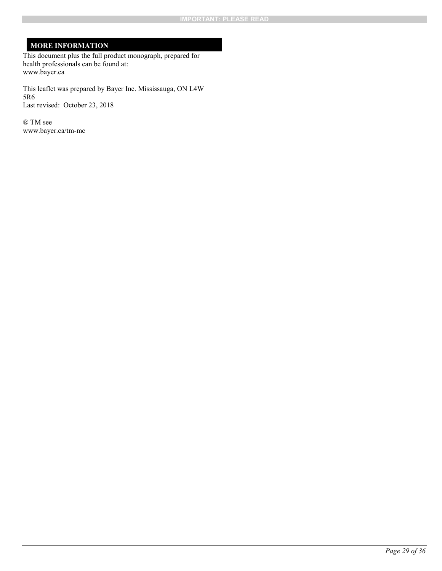# **MORE INFORMATION**

This document plus the full product monograph, prepared for health professionals can be found at: www.bayer.ca

This leaflet was prepared by Bayer Inc. Mississauga, ON L4W 5R6 Last revised: October 23, 2018

® TM see www.bayer.ca/tm-mc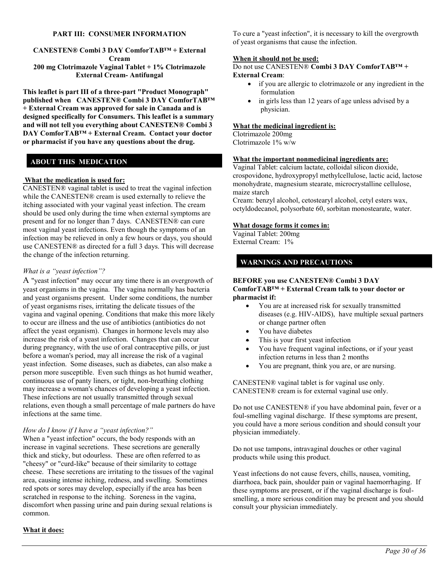**CANESTEN® Combi 3 DAY ComforTAB™ + External Cream 200 mg Clotrimazole Vaginal Tablet + 1% Clotrimazole External Cream- Antifungal**

**This leaflet is part III of a three-part "Product Monograph" published when CANESTEN® Combi 3 DAY ComforTAB™ + External Cream was approved for sale in Canada and is designed specifically for Consumers. This leaflet is a summary and will not tell you everything about CANESTEN® Combi 3 DAY ComforTAB™ + External Cream. Contact your doctor or pharmacist if you have any questions about the drug.** 

## **ABOUT THIS MEDICATION**

#### **What the medication is used for:**

CANESTEN® vaginal tablet is used to treat the vaginal infection while the CANESTEN® cream is used externally to relieve the itching associated with your vaginal yeast infection. The cream should be used only during the time when external symptoms are present and for no longer than 7 days. CANESTEN® can cure most vaginal yeast infections. Even though the symptoms of an infection may be relieved in only a few hours or days, you should use CANESTEN® as directed for a full 3 days. This will decrease the change of the infection returning.

#### *What is a "yeast infection"?*

A "yeast infection" may occur any time there is an overgrowth of yeast organisms in the vagina. The vagina normally has bacteria and yeast organisms present. Under some conditions, the number of yeast organisms rises, irritating the delicate tissues of the vagina and vaginal opening. Conditions that make this more likely to occur are illness and the use of antibiotics (antibiotics do not affect the yeast organism). Changes in hormone levels may also increase the risk of a yeast infection. Changes that can occur during pregnancy, with the use of oral contraceptive pills, or just before a woman's period, may all increase the risk of a vaginal yeast infection. Some diseases, such as diabetes, can also make a person more susceptible. Even such things as hot humid weather, continuous use of panty liners, or tight, non-breathing clothing may increase a woman's chances of developing a yeast infection. These infections are not usually transmitted through sexual relations, even though a small percentage of male partners do have infections at the same time.

#### *How do I know if I have a "yeast infection?"*

When a "yeast infection" occurs, the body responds with an increase in vaginal secretions. These secretions are generally thick and sticky, but odourless. These are often referred to as "cheesy" or "curd-like" because of their similarity to cottage cheese. These secretions are irritating to the tissues of the vaginal area, causing intense itching, redness, and swelling. Sometimes red spots or sores may develop, especially if the area has been scratched in response to the itching. Soreness in the vagina, discomfort when passing urine and pain during sexual relations is common.

To cure a "yeast infection", it is necessary to kill the overgrowth of yeast organisms that cause the infection.

#### **When it should not be used:**

Do not use CANESTEN® **Combi 3 DAY ComforTAB™ + External Cream**:

- if you are allergic to clotrimazole or any ingredient in the formulation
- in girls less than 12 years of age unless advised by a physician.

#### **What the medicinal ingredient is:**

Clotrimazole 200mg Clotrimazole 1% w/w

#### **What the important nonmedicinal ingredients are:**

Vaginal Tablet: calcium lactate, colloidal silicon dioxide, crospovidone, hydroxypropyl methylcellulose, lactic acid, lactose monohydrate, magnesium stearate, microcrystalline cellulose, maize starch

Cream: benzyl alcohol, cetostearyl alcohol, cetyl esters wax, octyldodecanol, polysorbate 60, sorbitan monostearate, water.

### **What dosage forms it comes in:**

Vaginal Tablet: 200mg External Cream: 1%

### **WARNINGS AND PRECAUTIONS**

#### **BEFORE you use CANESTEN® Combi 3 DAY ComforTAB™ + External Cream talk to your doctor or pharmacist if:**

- You are at increased risk for sexually transmitted diseases (e.g. HIV-AIDS), have multiple sexual partners or change partner often
- You have diabetes
- This is your first yeast infection
- You have frequent vaginal infections, or if your yeast infection returns in less than 2 months
- You are pregnant, think you are, or are nursing.

CANESTEN® vaginal tablet is for vaginal use only. CANESTEN® cream is for external vaginal use only.

Do not use CANESTEN® if you have abdominal pain, fever or a foul-smelling vaginal discharge. If these symptoms are present, you could have a more serious condition and should consult your physician immediately.

Do not use tampons, intravaginal douches or other vaginal products while using this product.

Yeast infections do not cause fevers, chills, nausea, vomiting, diarrhoea, back pain, shoulder pain or vaginal haemorrhaging. If these symptoms are present, or if the vaginal discharge is foulsmelling, a more serious condition may be present and you should consult your physician immediately.

### **What it does:**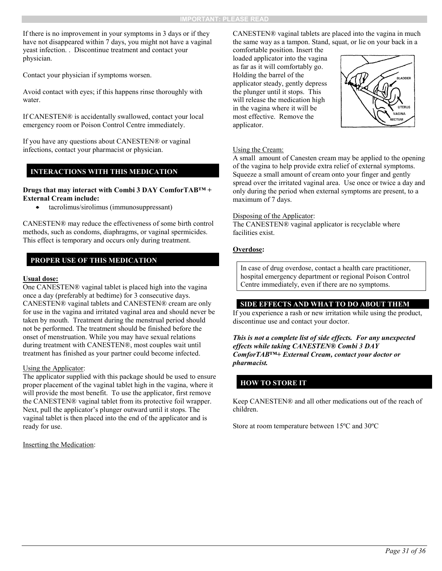If there is no improvement in your symptoms in 3 days or if they have not disappeared within 7 days, you might not have a vaginal yeast infection. . Discontinue treatment and contact your physician.

Contact your physician if symptoms worsen.

Avoid contact with eyes; if this happens rinse thoroughly with water.

If CANESTEN® is accidentally swallowed, contact your local emergency room or Poison Control Centre immediately.

If you have any questions about CANESTEN® or vaginal infections, contact your pharmacist or physician.

### **INTERACTIONS WITH THIS MEDICATION**

#### **Drugs that may interact with Combi 3 DAY ComforTAB™ + External Cream include:**

tacrolimus/sirolimus (immunosuppressant)

CANESTEN® may reduce the effectiveness of some birth control methods, such as condoms, diaphragms, or vaginal spermicides. This effect is temporary and occurs only during treatment.

## **PROPER USE OF THIS MEDICATION**

#### **Usual dose:**

One CANESTEN® vaginal tablet is placed high into the vagina once a day (preferably at bedtime) for 3 consecutive days. CANESTEN® vaginal tablets and CANESTEN® cream are only for use in the vagina and irritated vaginal area and should never be taken by mouth. Treatment during the menstrual period should not be performed. The treatment should be finished before the onset of menstruation. While you may have sexual relations during treatment with CANESTEN®, most couples wait until treatment has finished as your partner could become infected.

### Using the Applicator:

The applicator supplied with this package should be used to ensure proper placement of the vaginal tablet high in the vagina, where it will provide the most benefit. To use the applicator, first remove the CANESTEN® vaginal tablet from its protective foil wrapper. Next, pull the applicator's plunger outward until it stops. The vaginal tablet is then placed into the end of the applicator and is ready for use.

Inserting the Medication:

CANESTEN® vaginal tablets are placed into the vagina in much the same way as a tampon. Stand, squat, or lie on your back in a

comfortable position. Insert the loaded applicator into the vagina as far as it will comfortably go. Holding the barrel of the applicator steady, gently depress the plunger until it stops. This will release the medication high in the vagina where it will be most effective. Remove the applicator.



### Using the Cream:

A small amount of Canesten cream may be applied to the opening of the vagina to help provide extra relief of external symptoms. Squeeze a small amount of cream onto your finger and gently spread over the irritated vaginal area. Use once or twice a day and only during the period when external symptoms are present, to a maximum of 7 days.

#### Disposing of the Applicator:

The CANESTEN® vaginal applicator is recyclable where facilities exist.

## **Overdose:**

In case of drug overdose, contact a health care practitioner, hospital emergency department or regional Poison Control Centre immediately, even if there are no symptoms.

### **SIDE EFFECTS AND WHAT TO DO ABOUT THEM**

If you experience a rash or new irritation while using the product, discontinue use and contact your doctor.

*This is not a complete list of side effects. For any unexpected effects while taking CANESTEN® Combi 3 DAY ComforTAB™+ External Cream, contact your doctor or pharmacist.*

## **HOW TO STORE IT**

Keep CANESTEN® and all other medications out of the reach of children.

Store at room temperature between 15ºC and 30ºC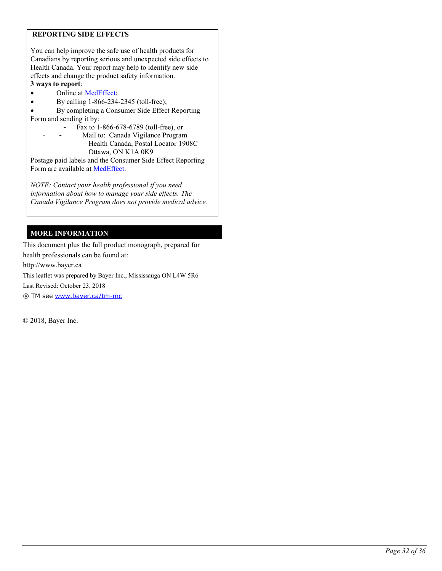## **REPORTING SIDE EFFECTS**

You can help improve the safe use of health products for Canadians by reporting serious and unexpected side effects to Health Canada. Your report may help to identify new side effects and change the product safety information. **3 ways to report**:

- Online at [MedEffect;](http://hc-sc.gc.ca/dhp-mps/medeff/index-eng.php)
- By calling  $1-866-234-2345$  (toll-free);
- By completing a Consumer Side Effect Reporting Form and sending it by:
	- Fax to 1-866-678-6789 (toll-free), or
	- Mail to: Canada Vigilance Program Health Canada, Postal Locator 1908C Ottawa, ON K1A 0K9

Postage paid labels and the Consumer Side Effect Reporting Form are available at [MedEffect.](http://hc-sc.gc.ca/dhp-mps/medeff/index-eng.php)

*NOTE: Contact your health professional if you need information about how to manage your side effects. The Canada Vigilance Program does not provide medical advice.*

## **MORE INFORMATION**

This document plus the full product monograph, prepared for health professionals can be found at:

http://www.bayer.ca

This leaflet was prepared by Bayer Inc., Mississauga ON L4W 5R6

Last Revised: October 23, 2018

® TM see [www.bayer.ca/tm-mc](http://www.bayer.ca/tm-mc)

© 2018, Bayer Inc.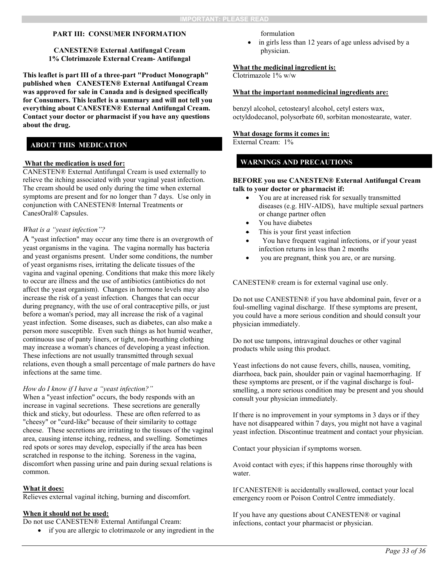#### **CANESTEN® External Antifungal Cream 1% Clotrimazole External Cream- Antifungal**

**This leaflet is part III of a three-part "Product Monograph" published when CANESTEN® External Antifungal Cream was approved for sale in Canada and is designed specifically for Consumers. This leaflet is a summary and will not tell you everything about CANESTEN® External Antifungal Cream. Contact your doctor or pharmacist if you have any questions about the drug.** 

# **ABOUT THIS MEDICATION**

#### **What the medication is used for:**

CANESTEN® External Antifungal Cream is used externally to relieve the itching associated with your vaginal yeast infection. The cream should be used only during the time when external symptoms are present and for no longer than 7 days. Use only in conjunction with CANESTEN® Internal Treatments or CanesOral® Capsules.

#### *What is a "yeast infection"?*

A "yeast infection" may occur any time there is an overgrowth of yeast organisms in the vagina. The vagina normally has bacteria and yeast organisms present. Under some conditions, the number of yeast organisms rises, irritating the delicate tissues of the vagina and vaginal opening. Conditions that make this more likely to occur are illness and the use of antibiotics (antibiotics do not affect the yeast organism). Changes in hormone levels may also increase the risk of a yeast infection. Changes that can occur during pregnancy, with the use of oral contraceptive pills, or just before a woman's period, may all increase the risk of a vaginal yeast infection. Some diseases, such as diabetes, can also make a person more susceptible. Even such things as hot humid weather, continuous use of panty liners, or tight, non-breathing clothing may increase a woman's chances of developing a yeast infection. These infections are not usually transmitted through sexual relations, even though a small percentage of male partners do have infections at the same time.

#### *How do I know if I have a "yeast infection?"*

When a "yeast infection" occurs, the body responds with an increase in vaginal secretions. These secretions are generally thick and sticky, but odourless. These are often referred to as "cheesy" or "curd-like" because of their similarity to cottage cheese. These secretions are irritating to the tissues of the vaginal area, causing intense itching, redness, and swelling. Sometimes red spots or sores may develop, especially if the area has been scratched in response to the itching. Soreness in the vagina, discomfort when passing urine and pain during sexual relations is common.

#### **What it does:**

Relieves external vaginal itching, burning and discomfort.

#### **When it should not be used:**

Do not use CANESTEN® External Antifungal Cream:

if you are allergic to clotrimazole or any ingredient in the

formulation

 in girls less than 12 years of age unless advised by a physician.

#### **What the medicinal ingredient is:**

Clotrimazole 1% w/w

#### **What the important nonmedicinal ingredients are:**

benzyl alcohol, cetostearyl alcohol, cetyl esters wax, octyldodecanol, polysorbate 60, sorbitan monostearate, water.

#### **What dosage forms it comes in:**

External Cream: 1%

## **WARNINGS AND PRECAUTIONS**

#### **BEFORE you use CANESTEN® External Antifungal Cream talk to your doctor or pharmacist if:**

- You are at increased risk for sexually transmitted diseases (e.g. HIV-AIDS), have multiple sexual partners or change partner often
- You have diabetes
- This is your first yeast infection
- You have frequent vaginal infections, or if your yeast infection returns in less than 2 months
- you are pregnant, think you are, or are nursing.

CANESTEN® cream is for external vaginal use only.

Do not use CANESTEN® if you have abdominal pain, fever or a foul-smelling vaginal discharge. If these symptoms are present, you could have a more serious condition and should consult your physician immediately.

Do not use tampons, intravaginal douches or other vaginal products while using this product.

Yeast infections do not cause fevers, chills, nausea, vomiting, diarrhoea, back pain, shoulder pain or vaginal haemorrhaging. If these symptoms are present, or if the vaginal discharge is foulsmelling, a more serious condition may be present and you should consult your physician immediately.

If there is no improvement in your symptoms in 3 days or if they have not disappeared within 7 days, you might not have a vaginal yeast infection. Discontinue treatment and contact your physician.

Contact your physician if symptoms worsen.

Avoid contact with eyes; if this happens rinse thoroughly with water.

If CANESTEN® is accidentally swallowed, contact your local emergency room or Poison Control Centre immediately.

If you have any questions about CANESTEN® or vaginal infections, contact your pharmacist or physician.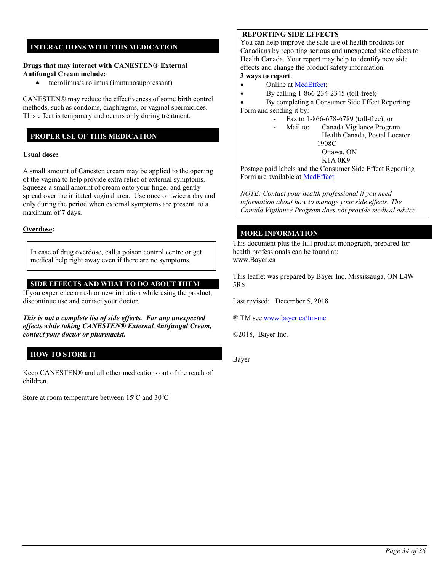# **INTERACTIONS WITH THIS MEDICATION**

### **Drugs that may interact with CANESTEN® External Antifungal Cream include:**

tacrolimus/sirolimus (immunosuppressant)

CANESTEN® may reduce the effectiveness of some birth control methods, such as condoms, diaphragms, or vaginal spermicides. This effect is temporary and occurs only during treatment.

## **PROPER USE OF THIS MEDICATION**

### **Usual dose:**

A small amount of Canesten cream may be applied to the opening of the vagina to help provide extra relief of external symptoms. Squeeze a small amount of cream onto your finger and gently spread over the irritated vaginal area. Use once or twice a day and only during the period when external symptoms are present, to a maximum of 7 days.

#### **Overdose:**

In case of drug overdose, call a poison control centre or get medical help right away even if there are no symptoms.

## **SIDE EFFECTS AND WHAT TO DO ABOUT THEM**

If you experience a rash or new irritation while using the product, discontinue use and contact your doctor.

*This is not a complete list of side effects. For any unexpected effects while taking CANESTEN® External Antifungal Cream, contact your doctor or pharmacist.*

# **HOW TO STORE IT**

Keep CANESTEN® and all other medications out of the reach of children.

Store at room temperature between 15ºC and 30ºC

## **REPORTING SIDE EFFECTS**

You can help improve the safe use of health products for Canadians by reporting serious and unexpected side effects to Health Canada. Your report may help to identify new side effects and change the product safety information.

# **3 ways to report**:

- Online at [MedEffect;](http://hc-sc.gc.ca/dhp-mps/medeff/index-eng.php)
- By calling  $1-866-234-2345$  (toll-free);

 By completing a Consumer Side Effect Reporting Form and sending it by:

- Fax to 1-866-678-6789 (toll-free), or
	- Mail to: Canada Vigilance Program Health Canada, Postal Locator 1908C
		- Ottawa, ON

K1A 0K9

Postage paid labels and the Consumer Side Effect Reporting Form are available at [MedEffect.](http://hc-sc.gc.ca/dhp-mps/medeff/index-eng.php)

*NOTE: Contact your health professional if you need information about how to manage your side effects. The Canada Vigilance Program does not provide medical advice.*

## **MORE INFORMATION**

This document plus the full product monograph, prepared for health professionals can be found at: www.Bayer.ca

This leaflet was prepared by Bayer Inc. Mississauga, ON L4W 5R6

Last revised: December 5, 2018

® TM se[e www.bayer.ca/tm-mc](http://www.bayer.ca/tm-mc)

©2018, Bayer Inc.

Bayer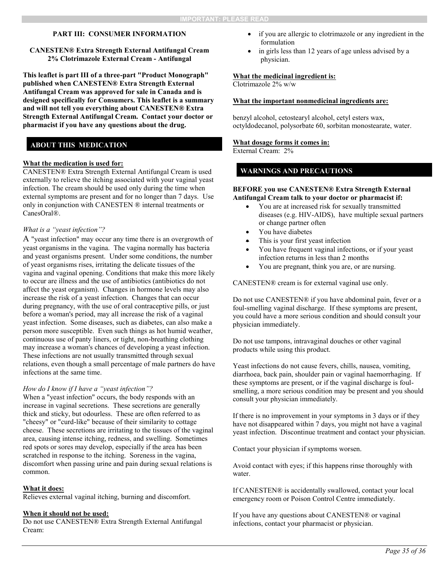### **CANESTEN® Extra Strength External Antifungal Cream 2% Clotrimazole External Cream - Antifungal**

**This leaflet is part III of a three-part "Product Monograph" published when CANESTEN® Extra Strength External Antifungal Cream was approved for sale in Canada and is designed specifically for Consumers. This leaflet is a summary and will not tell you everything about CANESTEN® Extra Strength External Antifungal Cream. Contact your doctor or pharmacist if you have any questions about the drug.** 

## **ABOUT THIS MEDICATION**

#### **What the medication is used for:**

CANESTEN® Extra Strength External Antifungal Cream is used externally to relieve the itching associated with your vaginal yeast infection. The cream should be used only during the time when external symptoms are present and for no longer than 7 days. Use only in conjunction with CANESTEN ® internal treatments or CanesOral®.

#### *What is a "yeast infection"?*

A "yeast infection" may occur any time there is an overgrowth of yeast organisms in the vagina. The vagina normally has bacteria and yeast organisms present. Under some conditions, the number of yeast organisms rises, irritating the delicate tissues of the vagina and vaginal opening. Conditions that make this more likely to occur are illness and the use of antibiotics (antibiotics do not affect the yeast organism). Changes in hormone levels may also increase the risk of a yeast infection. Changes that can occur during pregnancy, with the use of oral contraceptive pills, or just before a woman's period, may all increase the risk of a vaginal yeast infection. Some diseases, such as diabetes, can also make a person more susceptible. Even such things as hot humid weather, continuous use of panty liners, or tight, non-breathing clothing may increase a woman's chances of developing a yeast infection. These infections are not usually transmitted through sexual relations, even though a small percentage of male partners do have infections at the same time.

#### *How do I know if I have a "yeast infection"?*

When a "yeast infection" occurs, the body responds with an increase in vaginal secretions. These secretions are generally thick and sticky, but odourless. These are often referred to as "cheesy" or "curd-like" because of their similarity to cottage cheese. These secretions are irritating to the tissues of the vaginal area, causing intense itching, redness, and swelling. Sometimes red spots or sores may develop, especially if the area has been scratched in response to the itching. Soreness in the vagina, discomfort when passing urine and pain during sexual relations is common.

### **What it does:**

Relieves external vaginal itching, burning and discomfort.

#### **When it should not be used:**

Do not use CANESTEN® Extra Strength External Antifungal Cream:

- if you are allergic to clotrimazole or any ingredient in the formulation
- in girls less than 12 years of age unless advised by a physician.

#### **What the medicinal ingredient is:**

Clotrimazole 2% w/w

#### **What the important nonmedicinal ingredients are:**

benzyl alcohol, cetostearyl alcohol, cetyl esters wax, octyldodecanol, polysorbate 60, sorbitan monostearate, water.

# **What dosage forms it comes in:**

External Cream: 2%

## **WARNINGS AND PRECAUTIONS**

#### **BEFORE you use CANESTEN® Extra Strength External Antifungal Cream talk to your doctor or pharmacist if:**

- You are at increased risk for sexually transmitted diseases (e.g. HIV-AIDS), have multiple sexual partners or change partner often
- You have diabetes
- This is your first yeast infection
- You have frequent vaginal infections, or if your yeast infection returns in less than 2 months
- You are pregnant, think you are, or are nursing.

CANESTEN® cream is for external vaginal use only.

Do not use CANESTEN® if you have abdominal pain, fever or a foul-smelling vaginal discharge. If these symptoms are present, you could have a more serious condition and should consult your physician immediately.

Do not use tampons, intravaginal douches or other vaginal products while using this product.

Yeast infections do not cause fevers, chills, nausea, vomiting, diarrhoea, back pain, shoulder pain or vaginal haemorrhaging. If these symptoms are present, or if the vaginal discharge is foulsmelling, a more serious condition may be present and you should consult your physician immediately.

If there is no improvement in your symptoms in 3 days or if they have not disappeared within 7 days, you might not have a vaginal yeast infection. Discontinue treatment and contact your physician.

Contact your physician if symptoms worsen.

Avoid contact with eyes; if this happens rinse thoroughly with water.

If CANESTEN® is accidentally swallowed, contact your local emergency room or Poison Control Centre immediately.

If you have any questions about CANESTEN® or vaginal infections, contact your pharmacist or physician.